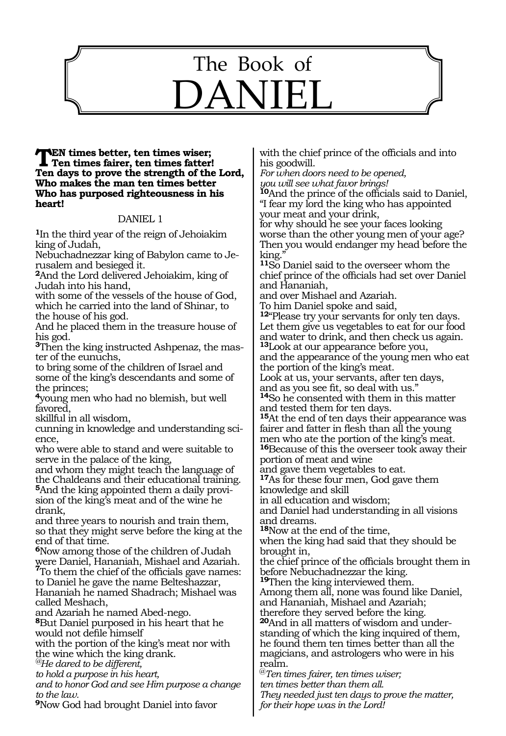# 1089 The Book of DANIEL

### **TEN times better, ten times wiser;<br>Ten times fairer, ten times fatter! Ten days to prove the strength of the Lord, Who makes the man ten times better Who has purposed righteousness in his heart!**

### DANIEL 1

**<sup>1</sup>**In the third year of the reign of Jehoiakim king of Judah,

Nebuchadnezzar king of Babylon came to Jerusalem and besieged it.

**<sup>2</sup>**And the Lord delivered Jehoiakim, king of Judah into his hand,

with some of the vessels of the house of God, which he carried into the land of Shinar, to the house of his god.

And he placed them in the treasure house of his god.

**3**Then the king instructed Ashpenaz, the master of the eunuchs,

to bring some of the children of Israel and some of the king's descendants and some of the princes;

**<sup>4</sup>**young men who had no blemish, but well favored,

skillful in all wisdom,

cunning in knowledge and understanding science,

who were able to stand and were suitable to serve in the palace of the king,

and whom they might teach the language of the Chaldeans and their educational training. **5**And the king appointed them a daily provision of the king's meat and of the wine he drank,

and three years to nourish and train them, so that they might serve before the king at the end of that time.

**<sup>6</sup>**Now among those of the children of Judah were Daniel, Hananiah, Mishael and Azariah. **<sup>7</sup>**To them the chief of the officials gave names: to Daniel he gave the name Belteshazzar, Hananiah he named Shadrach; Mishael was called Meshach,

and Azariah he named Abed-nego.

**<sup>8</sup>**But Daniel purposed in his heart that he would not defile himself

with the portion of the king's meat nor with the wine which the king drank.

*@He dared to be different,*

*to hold a purpose in his heart,*

*and to honor God and see Him purpose a change to the law.*

**<sup>9</sup>**Now God had brought Daniel into favor

with the chief prince of the officials and into his goodwill.

*For when doors need to be opened, you will see what favor brings!*

**<sup>10</sup>**And the prince of the officials said to Daniel, "I fear my lord the king who has appointed your meat and your drink,

for why should he see your faces looking worse than the other young men of your age? Then you would endanger my head before the king.

**<sup>11</sup>**So Daniel said to the overseer whom the chief prince of the officials had set over Daniel and Hananiah,

and over Mishael and Azariah.

To him Daniel spoke and said,

**<sup>12</sup>**"Please try your servants for only ten days. Let them give us vegetables to eat for our food and water to drink, and then check us again.

**<sup>13</sup>**Look at our appearance before you, and the appearance of the young men who eat the portion of the king's meat.

Look at us, your servants, after ten days,

and as you see fit, so deal with us."

**<sup>14</sup>**So he consented with them in this matter and tested them for ten days.

**<sup>15</sup>**At the end of ten days their appearance was fairer and fatter in flesh than all the young men who ate the portion of the king's meat.

**<sup>16</sup>**Because of this the overseer took away their portion of meat and wine

and gave them vegetables to eat.

**<sup>17</sup>**As for these four men, God gave them knowledge and skill

in all education and wisdom;

and Daniel had understanding in all visions and dreams.

**<sup>18</sup>**Now at the end of the time,

when the king had said that they should be brought in,

the chief prince of the officials brought them in before Nebuchadnezzar the king.

**<sup>19</sup>**Then the king interviewed them. Among them all, none was found like Daniel, and Hananiah, Mishael and Azariah; therefore they served before the king. **20**And in all matters of wisdom and understanding of which the king inquired of them, he found them ten times better than all the magicians, and astrologers who were in his realm.

@*Ten times fairer, ten times wiser; ten times better than them all. They needed just ten days to prove the matter, for their hope was in the Lord!*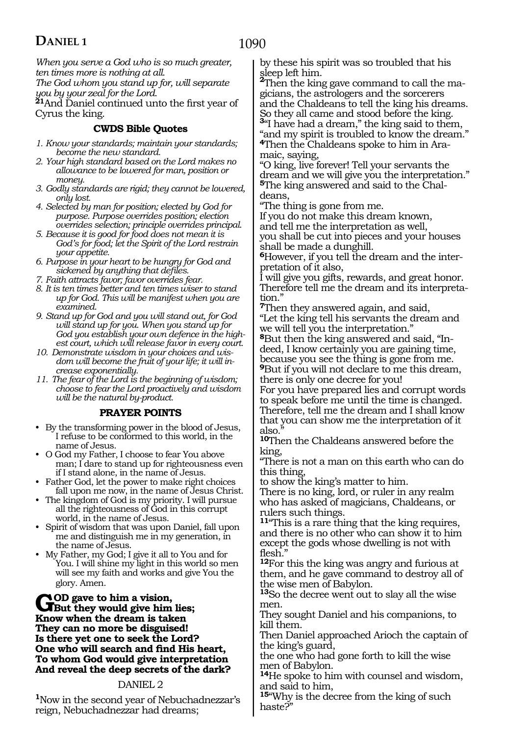*When you serve a God who is so much greater, ten times more is nothing at all. The God whom you stand up for, will separate* 

*you by your zeal for the Lord.* 

**<sup>21</sup>**And Daniel continued unto the first year of Cyrus the king.

### **CWDS Bible Quotes**

- *1. Know your standards; maintain your standards; become the new standard.*
- *2. Your high standard based on the Lord makes no allowance to be lowered for man, position or money.*
- *3. Godly standards are rigid; they cannot be lowered, only lost.*
- *4. Selected by man for position; elected by God for purpose. Purpose overrides position; election overrides selection; principle overrides principal.*
- *5. Because it is good for food does not mean it is God's for food; let the Spirit of the Lord restrain your appetite.*
- *6. Purpose in your heart to be hungry for God and sickened by anything that defiles.*
- *7. Faith attracts favor; favor overrides fear.*
- *8. It is ten times better and ten times wiser to stand up for God. This will be manifest when you are examined.*
- *9. Stand up for God and you will stand out, for God will stand up for you. When you stand up for God you establish your own defence in the highest court, which will release favor in every court.*
- *10. Demonstrate wisdom in your choices and wisdom will become the fruit of your life; it will increase exponentially.*
- *11. The fear of the Lord is the beginning of wisdom; choose to fear the Lord proactively and wisdom will be the natural by-product.*

### **PRAYER POINTS**

- By the transforming power in the blood of Jesus, I refuse to be conformed to this world, in the name of Jesus.
- O God my Father, I choose to fear You above man; I dare to stand up for righteousness even if I stand alone, in the name of Jesus.
- Father God, let the power to make right choices fall upon me now, in the name of Jesus Christ.
- The kingdom of God is my priority. I will pursue all the righteousness of God in this corrupt world, in the name of Jesus.
- Spirit of wisdom that was upon Daniel, fall upon me and distinguish me in my generation, in the name of Jesus.
- My Father, my God; I give it all to You and for You. I will shine my light in this world so men will see my faith and works and give You the glory. Amen.

### GOD gave to him a vision,<br> **But they would give him lies;**<br> **But the drawn is taken Know when the dream is taken They can no more be disguised! Is there yet one to seek the Lord? One who will search and find His heart, To whom God would give interpretation And reveal the deep secrets of the dark?**

### DANIEL 2

**<sup>1</sup>**Now in the second year of Nebuchadnezzar's reign, Nebuchadnezzar had dreams;

by these his spirit was so troubled that his

sleep left him.<br><sup>**2**Then the king gave command to call the ma-<br>gicians, the astrologers and the sorcerers</sup> and the Chaldeans to tell the king his dreams. So they all came and stood before the king. **<sup>3</sup>**"I have had a dream," the king said to them, "and my spirit is troubled to know the dream."

**<sup>4</sup>**Then the Chaldeans spoke to him in Ara- maic, saying,

"O king, live forever! Tell your servants the dream and we will give you the interpretation." **5**The king answered and said to the Chaldeans,

"The thing is gone from me.

If you do not make this dream known,

and tell me the interpretation as well, you shall be cut into pieces and your houses shall be made a dunghill.

**6**However, if you tell the dream and the interpretation of it also,

I will give you gifts, rewards, and great honor. Therefore tell me the dream and its interpretation."

**<sup>7</sup>**Then they answered again, and said, "Let the king tell his servants the dream and we will tell you the interpretation."

**8**But then the king answered and said, "Indeed, I know certainly you are gaining time, because you see the thing is gone from me. **<sup>9</sup>**But if you will not declare to me this dream,

there is only one decree for you!

For you have prepared lies and corrupt words to speak before me until the time is changed. Therefore, tell me the dream and I shall know that you can show me the interpretation of it also.

**<sup>10</sup>**Then the Chaldeans answered before the king,

"There is not a man on this earth who can do this thing,

to show the king's matter to him.

There is no king, lord, or ruler in any realm who has asked of magicians, Chaldeans, or rulers such things.

**<sup>11</sup>**"This is a rare thing that the king requires, and there is no other who can show it to him except the gods whose dwelling is not with flesh.

**<sup>12</sup>**For this the king was angry and furious at them, and he gave command to destroy all of the wise men of Babylon.

**<sup>13</sup>**So the decree went out to slay all the wise men.

They sought Daniel and his companions, to kill them.

Then Daniel approached Arioch the captain of the king's guard,

the one who had gone forth to kill the wise men of Babylon.

**<sup>14</sup>**He spoke to him with counsel and wisdom, and said to him,

**<sup>15</sup>**"Why is the decree from the king of such haste?"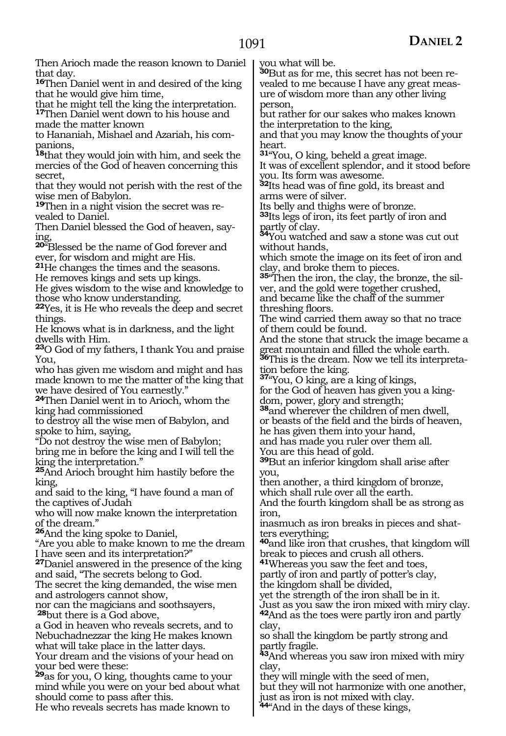Then Arioch made the reason known to Daniel that day. **<sup>16</sup>**Then Daniel went in and desired of the king

that he would give him time, that he might tell the king the interpretation. **<sup>17</sup>**Then Daniel went down to his house and made the matter known

to Hananiah, Mishael and Azariah, his companions,

**<sup>18</sup>**that they would join with him, and seek the mercies of the God of heaven concerning this secret,

that they would not perish with the rest of the wise men of Babylon.

**19**Then in a night vision the secret was revealed to Daniel.

Then Daniel blessed the God of heaven, saying,

**<sup>20</sup>**"Blessed be the name of God forever and ever, for wisdom and might are His.

**<sup>21</sup>**He changes the times and the seasons. He removes kings and sets up kings.

He gives wisdom to the wise and knowledge to those who know understanding.

**<sup>22</sup>**Yes, it is He who reveals the deep and secret things.

He knows what is in darkness, and the light dwells with Him.

**<sup>23</sup>**O God of my fathers, I thank You and praise You,

who has given me wisdom and might and has made known to me the matter of the king that we have desired of You earnestly."

**<sup>24</sup>**Then Daniel went in to Arioch, whom the king had commissioned

to destroy all the wise men of Babylon, and spoke to him, saying,

"Do not destroy the wise men of Babylon;

bring me in before the king and I will tell the king the interpretation."

**<sup>25</sup>**And Arioch brought him hastily before the king,

and said to the king, "I have found a man of the captives of Judah

who will now make known the interpretation of the dream."

**<sup>26</sup>**And the king spoke to Daniel,

"Are you able to make known to me the dream I have seen and its interpretation?"

**<sup>27</sup>**Daniel answered in the presence of the king and said, "The secrets belong to God.

The secret the king demanded, the wise men and astrologers cannot show,

nor can the magicians and soothsayers, **<sup>28</sup>**but there is a God above,

a God in heaven who reveals secrets, and to Nebuchadnezzar the king He makes known what will take place in the latter days. Your dream and the visions of your head on your bed were these:

**<sup>29</sup>**as for you, O king, thoughts came to your mind while you were on your bed about what should come to pass after this.

He who reveals secrets has made known to

you what will be.

**30**But as for me, this secret has not been revealed to me because I have any great measure of wisdom more than any other living person,

but rather for our sakes who makes known the interpretation to the king,

and that you may know the thoughts of your heart.

**<sup>31</sup>**"You, O king, beheld a great image.

It was of excellent splendor, and it stood before you. Its form was awesome.

**<sup>32</sup>**Its head was of fine gold, its breast and arms were of silver.

Its belly and thighs were of bronze.

**<sup>33</sup>**Its legs of iron, its feet partly of iron and

partly of clay. **<sup>34</sup>**You watched and saw a stone was cut out without hands,

which smote the image on its feet of iron and clay, and broke them to pieces.

**35**"Then the iron, the clay, the bronze, the silver, and the gold were together crushed,

and became like the chaff of the summer threshing floors.

The wind carried them away so that no trace of them could be found.

And the stone that struck the image became a great mountain and filled the whole earth.

**36**This is the dream. Now we tell its interpreta-

tion before the king. **<sup>37</sup>**"You, O king, are a king of kings,

for the God of heaven has given you a kingdom, power, glory and strength;

**<sup>38</sup>**and wherever the children of men dwell, or beasts of the field and the birds of heaven,

he has given them into your hand,

and has made you ruler over them all.

You are this head of gold.

**<sup>39</sup>**But an inferior kingdom shall arise after you,

then another, a third kingdom of bronze,

which shall rule over all the earth. And the fourth kingdom shall be as strong as iron,

inasmuch as iron breaks in pieces and shatters everything;

**<sup>40</sup>**and like iron that crushes, that kingdom will break to pieces and crush all others.

**<sup>41</sup>**Whereas you saw the feet and toes,

partly of iron and partly of potter's clay, the kingdom shall be divided,

yet the strength of the iron shall be in it. Just as you saw the iron mixed with miry clay. **<sup>42</sup>**And as the toes were partly iron and partly

clay, so shall the kingdom be partly strong and

partly fragile.

**<sup>43</sup>**And whereas you saw iron mixed with miry clay,

they will mingle with the seed of men, but they will not harmonize with one another, just as iron is not mixed with clay.

**<sup>44</sup>**"And in the days of these kings,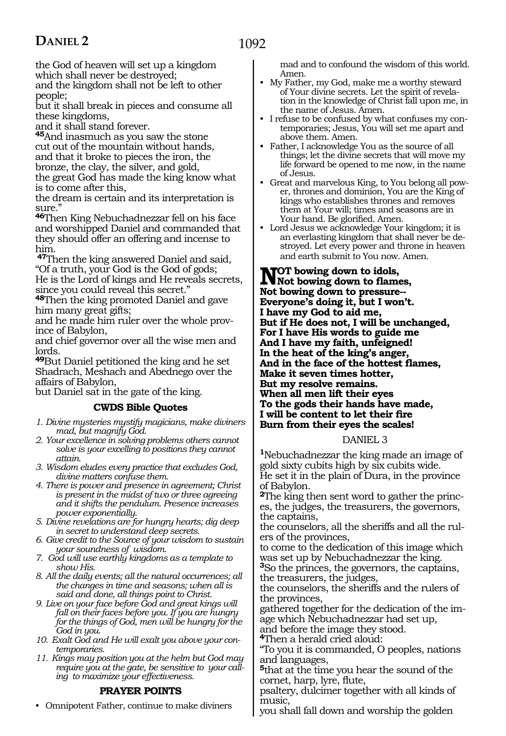the God of heaven will set up a kingdom which shall never be destroyed;

and the kingdom shall not be left to other people;

but it shall break in pieces and consume all these kingdoms,

and it shall stand forever.

**<sup>45</sup>**And inasmuch as you saw the stone cut out of the mountain without hands, and that it broke to pieces the iron, the bronze, the clay, the silver, and gold, the great God has made the king know what

is to come after this, the dream is certain and its interpretation is sure."

**<sup>46</sup>**Then King Nebuchadnezzar fell on his face and worshipped Daniel and commanded that they should offer an offering and incense to him.

**<sup>47</sup>**Then the king answered Daniel and said, "Of a truth, your God is the God of gods; He is the Lord of kings and He reveals secrets,

since you could reveal this secret." **<sup>48</sup>**Then the king promoted Daniel and gave

him many great gifts;

and he made him ruler over the whole province of Babylon,

and chief governor over all the wise men and lords.

**<sup>49</sup>**But Daniel petitioned the king and he set Shadrach, Meshach and Abednego over the affairs of Babylon,

but Daniel sat in the gate of the king*.*

### **CWDS Bible Quotes**

- *1. Divine mysteries mystify magicians, make diviners mad, but magnify God.*
- *2. Your excellence in solving problems others cannot solve is your excelling to positions they cannot attain.*
- *3. Wisdom eludes every practice that excludes God, divine matters confuse them.*
- *4. There is power and presence in agreement; Christ is present in the midst of two or three agreeing and it shifts the pendulum. Presence increases power exponentially.*
- *5. Divine revelations are for hungry hearts; dig deep in secret to understand deep secrets.*
- *6. Give credit to the Source of your wisdom to sustain your soundness of wisdom.*
- *7. God will use earthly kingdoms as a template to show His.*
- *8. All the daily events; all the natural occurrences; all the changes in time and seasons; when all is said and done, all things point to Christ.*
- *9. Live on your face before God and great kings will fall on their faces before you. If you are hungry for the things of God, men will be hungry for the God in you.*
- *10. Exalt God and He will exalt you above your contemporaries.*
- *11. Kings may position you at the helm but God may require you at the gate, be sensitive to your calling to maximize your effectiveness.*

### **PRAYER POINTS**

• Omnipotent Father, continue to make diviners

mad and to confound the wisdom of this world. Amen.

- My Father, my God, make me a worthy steward of Your divine secrets. Let the spirit of revelation in the knowledge of Christ fall upon me, in the name of Jesus. Amen.
- I refuse to be confused by what confuses my contemporaries; Jesus, You will set me apart and above them. Amen.
- Father, I acknowledge You as the source of all things; let the divine secrets that will move my life forward be opened to me now, in the name of Jesus.
- Great and marvelous King, to You belong all power, thrones and dominion, You are the King of kings who establishes thrones and removes them at Your will; times and seasons are in Your hand. Be glorified. Amen.
- Lord Jesus we acknowledge Your kingdom; it is an everlasting kingdom that shall never be destroyed. Let every power and throne in heaven and earth submit to You now. Amen.

**NOT** bowing down to idols,<br>
Not bowing down to flames,<br>
Not bowing down to processing **Not bowing down to pressure-- Everyone's doing it, but I won't. I have my God to aid me, But if He does not, I will be unchanged, For I have His words to guide me And I have my faith, unfeigned! In the heat of the king's anger, And in the face of the hottest flames, Make it seven times hotter, But my resolve remains. When all men lift their eyes To the gods their hands have made, I will be content to let their fire Burn from their eyes the scales!** 

#### DANIEL 3

**<sup>1</sup>**Nebuchadnezzar the king made an image of gold sixty cubits high by six cubits wide. He set it in the plain of Dura, in the province of Babylon.

**2**The king then sent word to gather the princes, the judges, the treasurers, the governors, the captains,

the counselors, all the sheriffs and all the rulers of the provinces,

to come to the dedication of this image which was set up by Nebuchadnezzar the king.

**<sup>3</sup>**So the princes, the governors, the captains, the treasurers, the judges,

the counselors, the sheriffs and the rulers of the provinces,

gathered together for the dedication of the image which Nebuchadnezzar had set up,

and before the image they stood. **<sup>4</sup>**Then a herald cried aloud:

"To you it is commanded, O peoples, nations and languages,

**<sup>5</sup>**that at the time you hear the sound of the cornet, harp, lyre, flute,

psaltery, dulcimer together with all kinds of music,

you shall fall down and worship the golden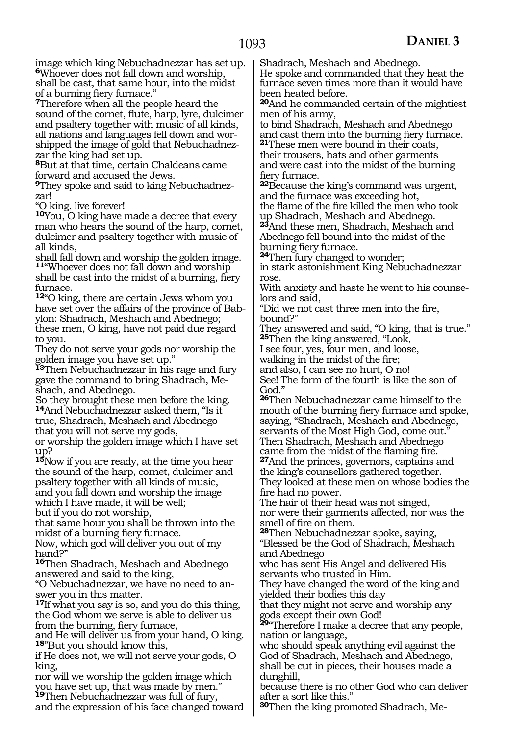image which king Nebuchadnezzar has set up. **<sup>6</sup>**Whoever does not fall down and worship, shall be cast, that same hour, into the midst of a burning fiery furnace."

**<sup>7</sup>**Therefore when all the people heard the sound of the cornet, flute, harp, lyre, dulcimer and psaltery together with music of all kinds, all nations and languages fell down and worshipped the image of gold that Nebuchadnezzar the king had set up.

**<sup>8</sup>**But at that time, certain Chaldeans came forward and accused the Jews.

**9**They spoke and said to king Nebuchadnezzar!

"O king, live forever!

**<sup>10</sup>**You, O king have made a decree that every man who hears the sound of the harp, cornet, dulcimer and psaltery together with music of all kinds,

shall fall down and worship the golden image. **<sup>11</sup>**"Whoever does not fall down and worship shall be cast into the midst of a burning, fiery furnace.

**<sup>12</sup>**"O king, there are certain Jews whom you have set over the affairs of the province of Babylon: Shadrach, Meshach and Abednego; these men, O king, have not paid due regard to you.

They do not serve your gods nor worship the golden image you have set up."

**<sup>13</sup>**Then Nebuchadnezzar in his rage and fury gave the command to bring Shadrach, Meshach, and Abednego.

So they brought these men before the king. **<sup>14</sup>**And Nebuchadnezzar asked them, "Is it true, Shadrach, Meshach and Abednego that you will not serve my gods,

or worship the golden image which I have set up?

**<sup>15</sup>**Now if you are ready, at the time you hear the sound of the harp, cornet, dulcimer and psaltery together with all kinds of music, and you fall down and worship the image which I have made, it will be well; but if you do not worship,

that same hour you shall be thrown into the midst of a burning fiery furnace.

Now, which god will deliver you out of my hand?"

**<sup>16</sup>**Then Shadrach, Meshach and Abednego answered and said to the king,

"O Nebuchadnezzar, we have no need to answer you in this matter.

**<sup>17</sup>**If what you say is so, and you do this thing, the God whom we serve is able to deliver us from the burning, fiery furnace,

and He will deliver us from your hand, O king. **<sup>18</sup>**"But you should know this,

if He does not, we will not serve your gods, O king,

nor will we worship the golden image which you have set up, that was made by men." **<sup>19</sup>**Then Nebuchadnezzar was full of fury,

and the expression of his face changed toward

Shadrach, Meshach and Abednego.

He spoke and commanded that they heat the furnace seven times more than it would have been heated before.

**<sup>20</sup>**And he commanded certain of the mightiest men of his army,

to bind Shadrach, Meshach and Abednego and cast them into the burning fiery furnace. **21**These men were bound in their coats,

their trousers, hats and other garments and were cast into the midst of the burning fiery furnace.

**<sup>22</sup>**Because the king's command was urgent, and the furnace was exceeding hot,

the flame of the fire killed the men who took up Shadrach, Meshach and Abednego.

**<sup>23</sup>**And these men, Shadrach, Meshach and Abednego fell bound into the midst of the

burning fiery furnace. **24**Then fury changed to wonder;

in stark astonishment King Nebuchadnezzar rose.

With anxiety and haste he went to his counselors and said,

"Did we not cast three men into the fire, bound?"

They answered and said, "O king, that is true." **<sup>25</sup>**Then the king answered, "Look,

I see four, yes, four men, and loose,

walking in the midst of the fire;

and also, I can see no hurt, O no! See! The form of the fourth is like the son of God."

**<sup>26</sup>**Then Nebuchadnezzar came himself to the mouth of the burning fiery furnace and spoke, saying, "Shadrach, Meshach and Abednego, servants of the Most High God, come out. Then Shadrach, Meshach and Abednego

came from the midst of the flaming fire.

**<sup>27</sup>**And the princes, governors, captains and the king's counsellors gathered together. They looked at these men on whose bodies the fire had no power.

The hair of their head was not singed, nor were their garments affected, nor was the smell of fire on them.

**<sup>28</sup>**Then Nebuchadnezzar spoke, saying, "Blessed be the God of Shadrach, Meshach and Abednego

who has sent His Angel and delivered His servants who trusted in Him.

They have changed the word of the king and yielded their bodies this day

that they might not serve and worship any gods except their own God!

**<sup>29</sup>**"Therefore I make a decree that any people, nation or language,

who should speak anything evil against the God of Shadrach, Meshach and Abednego, shall be cut in pieces, their houses made a dunghill,

because there is no other God who can deliver after a sort like this."

**30**Then the king promoted Shadrach, Me-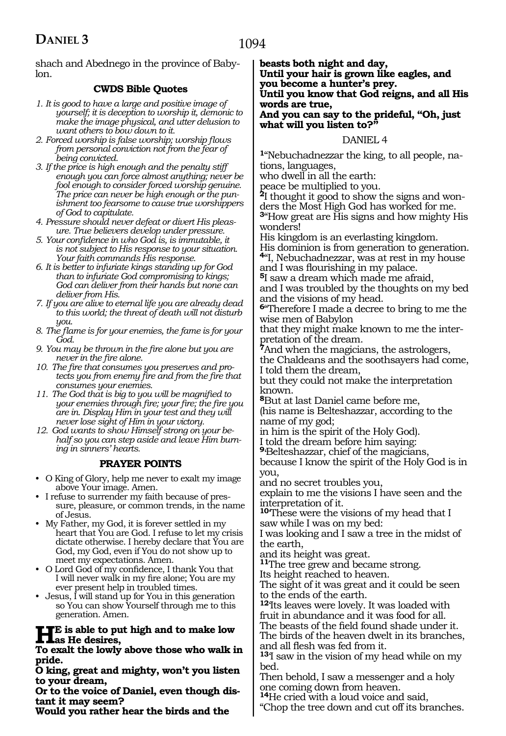shach and Abednego in the province of Babylon.

### **CWDS Bible Quotes**

- *1. It is good to have a large and positive image of yourself; it is deception to worship it, demonic to make the image physical, and utter delusion to want others to bow down to it.*
- *2. Forced worship is false worship; worship flows from personal conviction not from the fear of being convicted.*
- *3. If the price is high enough and the penalty stiff enough you can force almost anything; never be fool enough to consider forced worship genuine. The price can never be high enough or the punishment too fearsome to cause true worshippers of God to capitulate.*
- *4. Pressure should never defeat or divert His pleasure. True believers develop under pressure.*
- *5. Your confidence in who God is, is immutable, it is not subject to His response to your situation. Your faith commands His response.*
- *6. It is better to infuriate kings standing up for God than to infuriate God compromising to kings; God can deliver from their hands but none can deliver from His.*
- *7. If you are alive to eternal life you are already dead to this world; the threat of death will not disturb you.*
- *8. The flame is for your enemies, the fame is for your God.*
- *9. You may be thrown in the fire alone but you are never in the fire alone.*
- *10. The fire that consumes you preserves and protects you from enemy fire and from the fire that consumes your enemies.*
- *11. The God that is big to you will be magnified to your enemies through fire; your fire; the fire you are in. Display Him in your test and they will never lose sight of Him in your victory.*
- *12. God wants to show Himself strong on your behalf so you can step aside and leave Him burning in sinners' hearts.*

### **PRAYER POINTS**

- O King of Glory, help me never to exalt my image above Your image. Amen.
- I refuse to surrender my faith because of pressure, pleasure, or common trends, in the name of Jesus.
- My Father, my God, it is forever settled in my heart that You are God. I refuse to let my crisis dictate otherwise. I hereby declare that You are God, my God, even if You do not show up to meet my expectations. Amen.
- O Lord God of my confidence, I thank You that I will never walk in my fire alone; You are my ever present help in troubled times.
- $\bullet$  Jesus,  $\overline{I}$  will stand up for You in this generation so You can show Yourself through me to this generation. Amen.

**He is able to put high and to make low**  *As* He desires,

**To exalt the lowly above those who walk in pride.**

**O king, great and mighty, won't you listen to your dream,**

**Or to the voice of Daniel, even though dis- tant it may seem?**

**Would you rather hear the birds and the** 

**beasts both night and day, Until your hair is grown like eagles, and you become a hunter's prey. Until you know that God reigns, and all His words are true,**

#### **And you can say to the prideful, "Oh, just what will you listen to?"**

### DANIEL 4

**1**"Nebuchadnezzar the king, to all people, nations, languages,

who dwell in all the earth:

peace be multiplied to you.

**2**I thought it good to show the signs and wonders the Most High God has worked for me. **<sup>3</sup>**"How great are His signs and how mighty His wonders!

His kingdom is an everlasting kingdom.

His dominion is from generation to generation. **<sup>4</sup>**"I, Nebuchadnezzar, was at rest in my house

and I was flourishing in my palace.

**<sup>5</sup>**I saw a dream which made me afraid, and I was troubled by the thoughts on my bed and the visions of my head.

**<sup>6</sup>**"Therefore I made a decree to bring to me the wise men of Babylon

that they might make known to me the interpretation of the dream.

**<sup>7</sup>**And when the magicians, the astrologers, the Chaldeans and the soothsayers had come,

I told them the dream, but they could not make the interpretation known.

**<sup>8</sup>**But at last Daniel came before me,

(his name is Belteshazzar, according to the name of my god;

in him is the spirit of the Holy God). I told the dream before him saying:

**<sup>9</sup>**'Belteshazzar, chief of the magicians,

because I know the spirit of the Holy God is in you,

and no secret troubles you,

explain to me the visions I have seen and the interpretation of it.

**<sup>10</sup>**'These were the visions of my head that I saw while I was on my bed:

I was looking and I saw a tree in the midst of the earth,

and its height was great.

**<sup>11</sup>**The tree grew and became strong.

Its height reached to heaven.

The sight of it was great and it could be seen to the ends of the earth.

**<sup>12</sup>**'Its leaves were lovely. It was loaded with fruit in abundance and it was food for all.

The beasts of the field found shade under it.

The birds of the heaven dwelt in its branches, and all flesh was fed from it.

**<sup>13</sup>**'I saw in the vision of my head while on my bed.

Then behold, I saw a messenger and a holy one coming down from heaven.

**<sup>14</sup>**He cried with a loud voice and said,

"Chop the tree down and cut off its branches.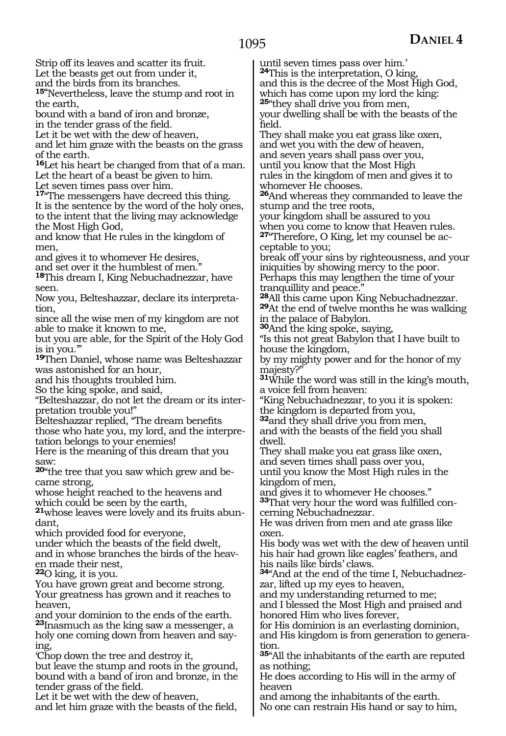Strip off its leaves and scatter its fruit. Let the beasts get out from under it, and the birds from its branches. **15"**Nevertheless, leave the stump and root in the earth, bound with a band of iron and bronze, in the tender grass of the field. Let it be wet with the dew of heaven, and let him graze with the beasts on the grass of the earth. **<sup>16</sup>**Let his heart be changed from that of a man. Let the heart of a beast be given to him. Let seven times pass over him. **<sup>17</sup>**"The messengers have decreed this thing. It is the sentence by the word of the holy ones, to the intent that the living may acknowledge the Most High God, and know that He rules in the kingdom of men, and gives it to whomever He desires, and set over it the humblest of men." **<sup>18</sup>**This dream I, King Nebuchadnezzar, have seen. Now you, Belteshazzar, declare its interpretasince all the wise men of my kingdom are not able to make it known to me, but you are able, for the Spirit of the Holy God is in you.'" **<sup>19</sup>**Then Daniel, whose name was Belteshazzar was astonished for an hour, and his thoughts troubled him. So the king spoke, and said, "Belteshazzar, do not let the dream or its inter- pretation trouble you!" Belteshazzar replied, "The dream benefits those who hate you, my lord, and the interpretation belongs to your enemies! Here is the meaning of this dream that you **<sup>20</sup>**"the tree that you saw which grew and be- came strong, whose height reached to the heavens and which could be seen by the earth, **21**whose leaves were lovely and its fruits abundant, which provided food for everyone, under which the beasts of the field dwelt, and in whose branches the birds of the heaven made their nest, **<sup>22</sup>**O king, it is you. You have grown great and become strong. Your greatness has grown and it reaches to heaven, and your dominion to the ends of the earth. **<sup>23</sup>**Inasmuch as the king saw a messenger, a holy one coming down from heaven and say-'Chop down the tree and destroy it, but leave the stump and roots in the ground, bound with a band of iron and bronze, in the field. majesty?" dwell. oxen. tion. as nothing;

tion,

saw:

ing,

tender grass of the field. Let it be wet with the dew of heaven, and let him graze with the beasts of the field,

until seven times pass over him.' **<sup>24</sup>**This is the interpretation, O king, and this is the decree of the Most High God, which has come upon my lord the king: **<sup>25</sup>**"they shall drive you from men, your dwelling shall be with the beasts of the They shall make you eat grass like oxen, and wet you with the dew of heaven, and seven years shall pass over you, until you know that the Most High rules in the kingdom of men and gives it to whomever He chooses. **<sup>26</sup>**And whereas they commanded to leave the stump and the tree roots, your kingdom shall be assured to you when you come to know that Heaven rules. **27**"Therefore, O King, let my counsel be acceptable to you; break off your sins by righteousness, and your iniquities by showing mercy to the poor. Perhaps this may lengthen the time of your tranquillity and peace."<br><sup>28</sup>All this came upon King Nebuchadnezzar. **29**At the end of twelve months he was walking in the palace of Babylon. **<sup>30</sup>**And the king spoke, saying, "Is this not great Babylon that I have built to house the kingdom, by my mighty power and for the honor of my **<sup>31</sup>**While the word was still in the king's mouth, a voice fell from heaven: "King Nebuchadnezzar, to you it is spoken: the kingdom is departed from you, **<sup>32</sup>**and they shall drive you from men, and with the beasts of the field you shall They shall make you eat grass like oxen, and seven times shall pass over you, until you know the Most High rules in the kingdom of men, and gives it to whomever He chooses." **33**That very hour the word was fulfilled concerning Nebuchadnezzar. He was driven from men and ate grass like His body was wet with the dew of heaven until his hair had grown like eagles' feathers, and his nails like birds' claws. **34**"And at the end of the time I, Nebuchadnezzar, lifted up my eyes to heaven, and my understanding returned to me; and I blessed the Most High and praised and honored Him who lives forever, for His dominion is an everlasting dominion, and His kingdom is from generation to genera-**<sup>35</sup>**"All the inhabitants of the earth are reputed

He does according to His will in the army of heaven

and among the inhabitants of the earth. No one can restrain His hand or say to him,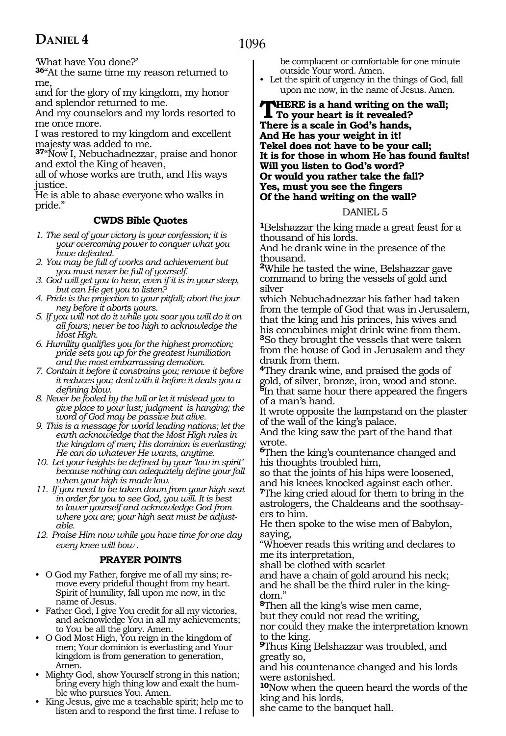1096

'What have You done?'

**<sup>36</sup>**"At the same time my reason returned to me,

and for the glory of my kingdom, my honor and splendor returned to me.

And my counselors and my lords resorted to me once more.

I was restored to my kingdom and excellent majesty was added to me.

**<sup>37</sup>**"Now I, Nebuchadnezzar, praise and honor and extol the King of heaven,

all of whose works are truth, and His ways justice.

He is able to abase everyone who walks in pride."

### **CWDS Bible Quotes**

*1. The seal of your victory is your confession; it is your overcoming power to conquer what you have defeated.*

*2. You may be full of works and achievement but you must never be full of yourself.*

- *3. God will get you to hear, even if it is in your sleep, but can He get you to listen?*
- *4. Pride is the projection to your pitfall; abort the journey before it aborts yours.*
- *5. If you will not do it while you soar you will do it on all fours; never be too high to acknowledge the Most High.*

*6. Humility qualifies you for the highest promotion; pride sets you up for the greatest humiliation and the most embarrassing demotion.*

*7. Contain it before it constrains you; remove it before it reduces you; deal with it before it deals you a defining blow.*

*8. Never be fooled by the lull or let it mislead you to give place to your lust; judgment is hanging; the word of God may be passive but alive.*

*9. This is a message for world leading nations; let the earth acknowledge that the Most High rules in the kingdom of men; His dominion is everlasting; He can do whatever He wants, anytime.*

*10. Let your heights be defined by your 'low in spirit' because nothing can adequately define your fall when your high is made low.*

*11. If you need to be taken down from your high seat in order for you to see God, you will. It is best to lower yourself and acknowledge God from where you are; your high seat must be adjustable.*

*12. Praise Him now while you have time for one day every knee will bow .*

#### **PRAYER POINTS**

• O God my Father, forgive me of all my sins; remove every prideful thought from my heart. Spirit of humility, fall upon me now, in the name of Jesus.

• Father God, I give You credit for all my victories, and acknowledge You in all my achievements; to You be all the glory. Amen.

- O God Most High, You reign in the kingdom of men; Your dominion is everlasting and Your kingdom is from generation to generation, Amen.
- Mighty God, show Yourself strong in this nation; bring every high thing low and exalt the humble who pursues You. Amen.
- King Jesus, give me a teachable spirit; help me to listen and to respond the first time. I refuse to

be complacent or comfortable for one minute outside Your word. Amen.

• Let the spirit of urgency in the things of God, fall upon me now, in the name of Jesus. Amen.

#### **THERE** is a hand writing on the wall; **To your heart is it revealed? There is a scale in God's hands, And He has your weight in it! Tekel does not have to be your call; It is for those in whom He has found faults! Will you listen to God's word? Or would you rather take the fall? Yes, must you see the fingers Of the hand writing on the wall?**

#### DANIEL 5

**<sup>1</sup>**Belshazzar the king made a great feast for a thousand of his lords.

And he drank wine in the presence of the thousand.

**<sup>2</sup>**While he tasted the wine, Belshazzar gave command to bring the vessels of gold and silver

which Nebuchadnezzar his father had taken from the temple of God that was in Jerusalem, that the king and his princes, his wives and his concubines might drink wine from them. **<sup>3</sup>**So they brought the vessels that were taken from the house of God in Jerusalem and they drank from them.

**<sup>4</sup>**They drank wine, and praised the gods of gold, of silver, bronze, iron, wood and stone. **<sup>5</sup>**In that same hour there appeared the fingers of a man's hand.

It wrote opposite the lampstand on the plaster of the wall of the king's palace.

And the king saw the part of the hand that wrote.

**<sup>6</sup>**Then the king's countenance changed and his thoughts troubled him,

so that the joints of his hips were loosened, and his knees knocked against each other.

**<sup>7</sup>**The king cried aloud for them to bring in the astrologers, the Chaldeans and the soothsayers to him.

He then spoke to the wise men of Babylon, saying,

"Whoever reads this writing and declares to me its interpretation,

shall be clothed with scarlet

and have a chain of gold around his neck; and he shall be the third ruler in the king- dom."

**<sup>8</sup>**Then all the king's wise men came,

but they could not read the writing,

nor could they make the interpretation known to the king.

**<sup>9</sup>**Thus King Belshazzar was troubled, and greatly so,

and his countenance changed and his lords were astonished.

**<sup>10</sup>**Now when the queen heard the words of the king and his lords,

she came to the banquet hall.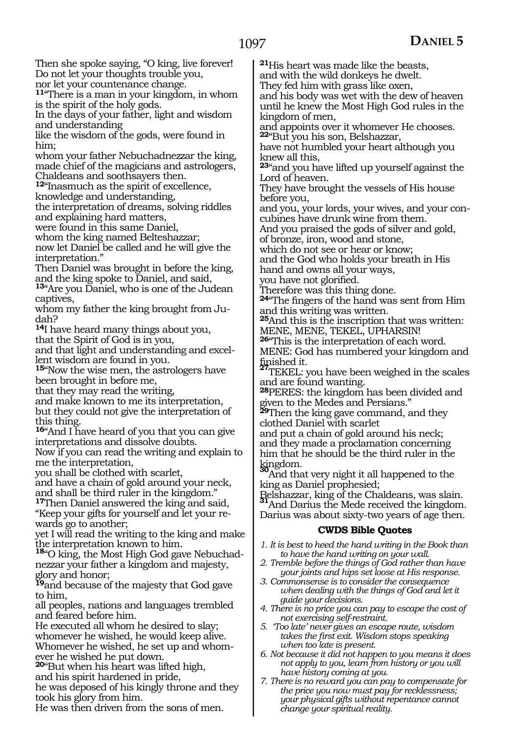Then she spoke saying, "O king, live forever! Do not let your thoughts trouble you, nor let your countenance change.

**<sup>11</sup>**"There is a man in your kingdom, in whom is the spirit of the holy gods.

In the days of your father, light and wisdom and understanding

like the wisdom of the gods, were found in him;

whom your father Nebuchadnezzar the king, made chief of the magicians and astrologers, Chaldeans and soothsayers then.

**<sup>12</sup>**"Inasmuch as the spirit of excellence,

knowledge and understanding,

the interpretation of dreams, solving riddles and explaining hard matters,

were found in this same Daniel,

whom the king named Belteshazzar;

now let Daniel be called and he will give the interpretation."

Then Daniel was brought in before the king, and the king spoke to Daniel, and said,

**<sup>13</sup>**"Are you Daniel, who is one of the Judean captives,

whom my father the king brought from Judah?

**<sup>14</sup>**I have heard many things about you, that the Spirit of God is in you,

and that light and understanding and excellent wisdom are found in you.

**<sup>15</sup>**"Now the wise men, the astrologers have been brought in before me,

that they may read the writing,

and make known to me its interpretation, but they could not give the interpretation of this thing.

**<sup>16</sup>**"And I have heard of you that you can give interpretations and dissolve doubts.

Now if you can read the writing and explain to me the interpretation,

you shall be clothed with scarlet,

and have a chain of gold around your neck, and shall be third ruler in the kingdom."

**<sup>17</sup>**Then Daniel answered the king and said, "Keep your gifts for yourself and let your rewards go to another;

yet I will read the writing to the king and make

the interpretation known to him. **<sup>18</sup>**"O king, the Most High God gave Nebuchadnezzar your father a kingdom and majesty, glory and honor;

**<sup>19</sup>**and because of the majesty that God gave to him,

all peoples, nations and languages trembled and feared before him.

He executed all whom he desired to slay; whomever he wished, he would keep alive. Whomever he wished, he set up and whomever he wished he put down.

**<sup>20</sup>**"But when his heart was lifted high, and his spirit hardened in pride,

he was deposed of his kingly throne and they took his glory from him.

He was then driven from the sons of men.

**<sup>21</sup>**His heart was made like the beasts,

and with the wild donkeys he dwelt.

They fed him with grass like oxen,

and his body was wet with the dew of heaven until he knew the Most High God rules in the kingdom of men,

and appoints over it whomever He chooses. **<sup>22</sup>**"But you his son, Belshazzar,

have not humbled your heart although you knew all this,

**<sup>23</sup>**"and you have lifted up yourself against the Lord of heaven.

They have brought the vessels of His house before you,

and you, your lords, your wives, and your concubines have drunk wine from them.

And you praised the gods of silver and gold,

of bronze, iron, wood and stone,

which do not see or hear or know;

and the God who holds your breath in His hand and owns all your ways,

you have not glorified.

Therefore was this thing done.

**<sup>24</sup>**"The fingers of the hand was sent from Him and this writing was written.

**<sup>25</sup>**And this is the inscription that was written: MENE, MENE, TEKEL, UPHARSIN!

**<sup>26</sup>**"This is the interpretation of each word.

MENE: God has numbered your kingdom and

TEKEL: you have been weighed in the scales and are found wanting.

**<sup>28</sup>**PERES: the kingdom has been divided and given to the Medes and Persians."

**<sup>29</sup>**Then the king gave command, and they clothed Daniel with scarlet

and put a chain of gold around his neck; and they made a proclamation concerning him that he should be the third ruler in the<br>kingdom.

And that very night it all happened to the king as Daniel prophesied;

Belshazzar, king of the Chaldeans, was slain. **<sup>31</sup>**And Darius the Mede received the kingdom. Darius was about sixty-two years of age then.

#### **CWDS Bible Quotes**

- *1. It is best to heed the hand writing in the Book than to have the hand writing on your wall.*
- *2. Tremble before the things of God rather than have your joints and hips set loose at His response.*
- *3. Commonsense is to consider the consequence when dealing with the things of God and let it guide your decisions.*
- *4. There is no price you can pay to escape the cost of not exercising self-restraint.*
- *5. 'Too late' never gives an escape route, wisdom takes the first exit. Wisdom stops speaking when too late is present.*
- *6. Not because it did not happen to you means it does not apply to you, learn from history or you will have history coming at you.*
- *7. There is no reward you can pay to compensate for the price you now must pay for recklessness; your physical gifts without repentance cannot change your spiritual reality.*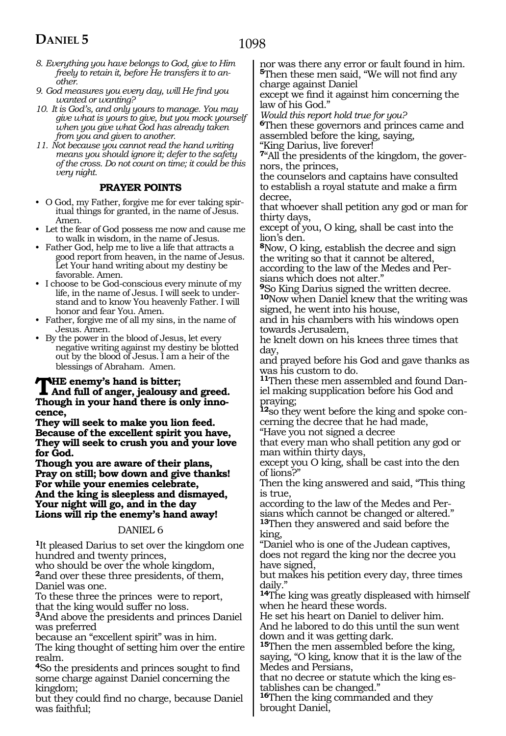- *8. Everything you have belongs to God, give to Him freely to retain it, before He transfers it to another.*
- *9. God measures you every day, will He find you wanted or wanting?*
- *10. It is God's, and only yours to manage. You may give what is yours to give, but you mock yourself when you give what God has already taken from you and given to another.*
- *11. Not because you cannot read the hand writing means you should ignore it; defer to the safety of the cross. Do not count on time; it could be this very night.*

### **PRAYER POINTS**

- O God, my Father, forgive me for ever taking spiritual things for granted, in the name of Jesus. Amen.
- Let the fear of God possess me now and cause me to walk in wisdom, in the name of Jesus.
- Father God, help me to live a life that attracts a good report from heaven, in the name of Jesus. Let Your hand writing about my destiny be favorable. Amen.
- I choose to be God-conscious every minute of my life, in the name of Jesus. I will seek to understand and to know You heavenly Father. I will honor and fear You. Amen.
- Father, forgive me of all my sins, in the name of Jesus. Amen.
- By the power in the blood of Jesus, let every negative writing against my destiny be blotted out by the blood of Jesus. I am a heir of the blessings of Abraham. Amen.

### **THE** enemy's hand is bitter;<br>
And full of anger, jealousy and greed.<br>
There is a revy hand there is only june. **Though in your hand there is only inno-**

**cence, They will seek to make you lion feed. Because of the excellent spirit you have, They will seek to crush you and your love for God.**

**Though you are aware of their plans, Pray on still; bow down and give thanks! For while your enemies celebrate, And the king is sleepless and dismayed, Your night will go, and in the day Lions will rip the enemy's hand away!**

#### DANIEL 6

**<sup>1</sup>**It pleased Darius to set over the kingdom one hundred and twenty princes,

who should be over the whole kingdom, **<sup>2</sup>**and over these three presidents, of them, Daniel was one.

To these three the princes were to report, that the king would suffer no loss.

**<sup>3</sup>**And above the presidents and princes Daniel was preferred

because an "excellent spirit" was in him.

The king thought of setting him over the entire realm.

**<sup>4</sup>**So the presidents and princes sought to find some charge against Daniel concerning the kingdom;

but they could find no charge, because Daniel was faithful;

nor was there any error or fault found in him. **<sup>5</sup>**Then these men said, "We will not find any charge against Daniel

except we find it against him concerning the law of his God."

*Would this report hold true for you?*

**<sup>6</sup>**Then these governors and princes came and assembled before the king, saying,

"King Darius, live forever!

**7**"All the presidents of the kingdom, the governors, the princes,

the counselors and captains have consulted to establish a royal statute and make a firm decree,

that whoever shall petition any god or man for thirty days,

except of you, O king, shall be cast into the lion's den.

**<sup>8</sup>**Now, O king, establish the decree and sign the writing so that it cannot be altered, according to the law of the Medes and Persians which does not alter."

**<sup>9</sup>**So King Darius signed the written decree. **<sup>10</sup>**Now when Daniel knew that the writing was signed, he went into his house,

and in his chambers with his windows open towards Jerusalem,

he knelt down on his knees three times that day,

and prayed before his God and gave thanks as was his custom to do.

**11**Then these men assembled and found Daniel making supplication before his God and praying;

**12**so they went before the king and spoke concerning the decree that he had made,

"Have you not signed a decree

that every man who shall petition any god or man within thirty days,

except you O king, shall be cast into the den of lions?"

Then the king answered and said, "This thing is true,

according to the law of the Medes and Persians which cannot be changed or altered." **<sup>13</sup>**Then they answered and said before the king,

"Daniel who is one of the Judean captives, does not regard the king nor the decree you have signed,

but makes his petition every day, three times daily."

**<sup>14</sup>**The king was greatly displeased with himself when he heard these words.

He set his heart on Daniel to deliver him.

And he labored to do this until the sun went down and it was getting dark.

**<sup>15</sup>**Then the men assembled before the king, saying, "O king, know that it is the law of the Medes and Persians,

that no decree or statute which the king es- tablishes can be changed."

**<sup>16</sup>**Then the king commanded and they brought Daniel,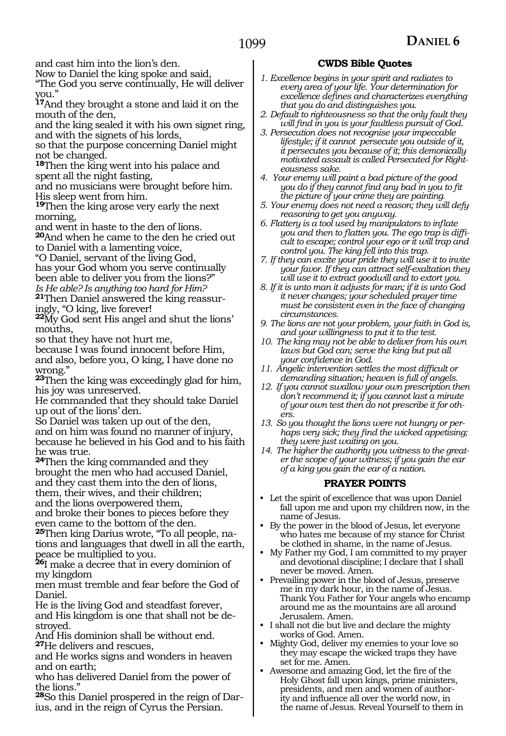and cast him into the lion's den.

Now to Daniel the king spoke and said,

"The God you serve continually, He will deliver you."

**<sup>17</sup>**And they brought a stone and laid it on the mouth of the den,

and the king sealed it with his own signet ring, and with the signets of his lords,

so that the purpose concerning Daniel might not be changed.

**<sup>18</sup>**Then the king went into his palace and spent all the night fasting,

and no musicians were brought before him. His sleep went from him.

**<sup>19</sup>**Then the king arose very early the next morning,

and went in haste to the den of lions.

**<sup>20</sup>**And when he came to the den he cried out to Daniel with a lamenting voice,

"O Daniel, servant of the living God,

has your God whom you serve continually been able to deliver you from the lions?" *Is He able? Is anything too hard for Him?*

**21**Then Daniel answered the king reassuringly, "O king, live forever!

**<sup>22</sup>**My God sent His angel and shut the lions' mouths,

so that they have not hurt me,

because I was found innocent before Him, and also, before you, O king, I have done no wrong."

**<sup>23</sup>**Then the king was exceedingly glad for him, his joy was unreserved.

He commanded that they should take Daniel up out of the lions' den.

So Daniel was taken up out of the den, and on him was found no manner of injury, because he believed in his God and to his faith he was true.

**<sup>24</sup>**Then the king commanded and they brought the men who had accused Daniel, and they cast them into the den of lions, them, their wives, and their children; and the lions overpowered them,

and broke their bones to pieces before they even came to the bottom of the den.

**25**Then king Darius wrote, "To all people, nations and languages that dwell in all the earth, peace be multiplied to you.

**<sup>26</sup>**I make a decree that in every dominion of my kingdom

men must tremble and fear before the God of Daniel.

He is the living God and steadfast forever, and His kingdom is one that shall not be de- stroyed.

And His dominion shall be without end. **<sup>27</sup>**He delivers and rescues,

and He works signs and wonders in heaven and on earth;

who has delivered Daniel from the power of the lions."

**28**So this Daniel prospered in the reign of Darius, and in the reign of Cyrus the Persian.

### **CWDS Bible Quotes**

- *1. Excellence begins in your spirit and radiates to every area of your life. Your determination for excellence defines and characterizes everything that you do and distinguishes you.*
- *2. Default to righteousness so that the only fault they will find in you is your faultless pursuit of God.*
- *3. Persecution does not recognise your impeccable lifestyle; if it cannot persecute you outside of it, it persecutes you because of it; this demonically motivated assault is called Persecuted for Righteousness sake.*
- *4. Your enemy will paint a bad picture of the good you do if they cannot find any bad in you to fit the picture of your crime they are painting.*
- *5. Your enemy does not need a reason; they will defy reasoning to get you anyway.*
- *6. Flattery is a tool used by manipulators to inflate you and then to flatten you. The ego trap is difficult to escape; control your ego or it will trap and control you. The king fell into this trap.*
- *7. If they can excite your pride they will use it to invite your favor. If they can attract self-exaltation they will use it to extract goodwill and to extort you.*
- *8. If it is unto man it adjusts for man; if it is unto God it never changes; your scheduled prayer time must be consistent even in the face of changing circumstances.*
- *9. The lions are not your problem, your faith in God is, and your willingness to put it to the test.*
- *10. The king may not be able to deliver from his own laws but God can; serve the king but put all your confidence in God.*
- *11. Angelic intervention settles the most difficult or demanding situation; heaven is full of angels.*
- *12. If you cannot swallow your own prescription then don't recommend it; if you cannot last a minute of your own test then do not prescribe it for others.*
- *13. So you thought the lions were not hungry or perhaps very sick; they find the wicked appetising; they were just waiting on you.*
- *14. The higher the authority you witness to the greater the scope of your witness; if you gain the ear of a king you gain the ear of a nation.*

### **PRAYER POINTS**

- Let the spirit of excellence that was upon Daniel fall upon me and upon my children now, in the name of Jesus.
- By the power in the blood of Jesus, let everyone who hates me because of my stance for Christ be clothed in shame, in the name of Jesus.
- My Father my God, I am committed to my prayer and devotional discipline; I declare that I shall never be moved. Amen.
- Prevailing power in the blood of Jesus, preserve me in my dark hour, in the name of Jesus. Thank You Father for Your angels who encamp around me as the mountains are all around Jerusalem. Amen.
- I shall not die but live and declare the mighty works of God. Amen.
- Mighty God, deliver my enemies to your love so they may escape the wicked traps they have set for me. Amen.
- Awesome and amazing God, let the fire of the Holy Ghost fall upon kings, prime ministers, presidents, and men and women of authority and influence all over the world now, in the name of Jesus. Reveal Yourself to them in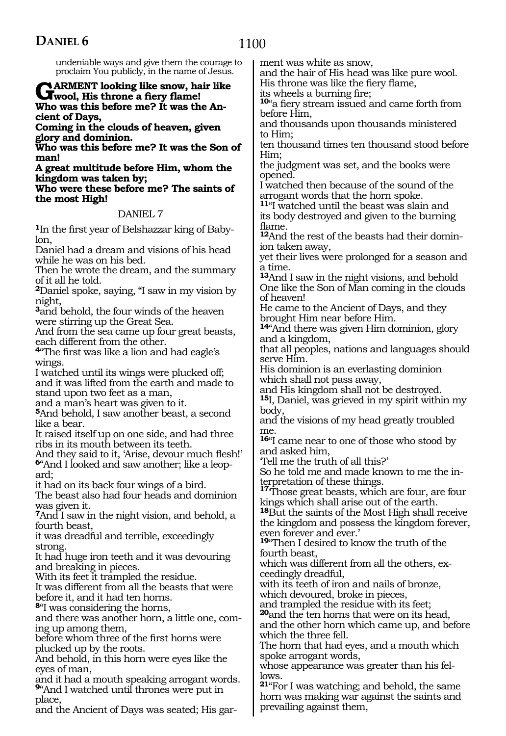place,

and the Ancient of Days was seated; His gar-

undeniable ways and give them the courage to proclaim You publicly, in the name of Jesus. GARMENT looking like snow, hair like **G**wool, His throne a fiery flame! **Who was this before me? It was the An cient of Days, Coming in the clouds of heaven, given glory and dominion. Who was this before me? It was the Son of man! A great multitude before Him, whom the kingdom was taken by; Who were these before me? The saints of the most High!** DANIEL 7 **1**In the first year of Belshazzar king of Babylon, Daniel had a dream and visions of his head while he was on his bed. Then he wrote the dream, and the summary of it all he told. **<sup>2</sup>**Daniel spoke, saying, "I saw in my vision by night, **<sup>3</sup>**and behold, the four winds of the heaven were stirring up the Great Sea. And from the sea came up four great beasts, each different from the other. **<sup>4</sup>**"The first was like a lion and had eagle's wings. I watched until its wings were plucked off; and it was lifted from the earth and made to stand upon two feet as a man, and a man's heart was given to it. **<sup>5</sup>**And behold, I saw another beast, a second like a bear. It raised itself up on one side, and had three ribs in its mouth between its teeth. And they said to it, 'Arise, devour much flesh!' **6**"And I looked and saw another; like a leopard; it had on its back four wings of a bird. The beast also had four heads and dominion was given it. **<sup>7</sup>**And I saw in the night vision, and behold, a fourth beast, it was dreadful and terrible, exceedingly strong. It had huge iron teeth and it was devouring and breaking in pieces. With its feet it trampled the residue. It was different from all the beasts that were before it, and it had ten horns. **<sup>8</sup>**"I was considering the horns, and there was another horn, a little one, coming up among them, before whom three of the first horns were plucked up by the roots. And behold, in this horn were eyes like the eyes of man, and it had a mouth speaking arrogant words. **<sup>9</sup>**"And I watched until thrones were put in ment was white as snow, and the hair of His head was like pure wool. His throne was like the fiery flame, its wheels a burning fire; **<sup>10</sup>**"a fiery stream issued and came forth from before Him, and thousands upon thousands ministered to Him; ten thousand times ten thousand stood before Him; the judgment was set, and the books were opened. I watched then because of the sound of the arrogant words that the horn spoke. **<sup>11</sup>**"I watched until the beast was slain and its body destroyed and given to the burning flame. **12**And the rest of the beasts had their dominion taken away, yet their lives were prolonged for a season and a time. **<sup>13</sup>**And I saw in the night visions, and behold One like the Son of Man coming in the clouds of heaven! He came to the Ancient of Days, and they brought Him near before Him. **<sup>14</sup>**"And there was given Him dominion, glory and a kingdom, that all peoples, nations and languages should serve Him. His dominion is an everlasting dominion which shall not pass away, and His kingdom shall not be destroyed. **<sup>15</sup>**I, Daniel, was grieved in my spirit within my body, and the visions of my head greatly troubled me. **<sup>16</sup>**"I came near to one of those who stood by and asked him, 'Tell me the truth of all this?' So he told me and made known to me the interpretation of these things. **<sup>17</sup>**'Those great beasts, which are four, are four kings which shall arise out of the earth. **<sup>18</sup>**But the saints of the Most High shall receive the kingdom and possess the kingdom forever, even forever and ever.' **<sup>19</sup>**"Then I desired to know the truth of the fourth beast, which was different from all the others, exceedingly dreadful, with its teeth of iron and nails of bronze, which devoured, broke in pieces, and trampled the residue with its feet; **<sup>20</sup>**and the ten horns that were on its head, and the other horn which came up, and before which the three fell. The horn that had eyes, and a mouth which spoke arrogant words, whose appearance was greater than his fellows.

**<sup>21</sup>**"For I was watching; and behold, the same horn was making war against the saints and prevailing against them,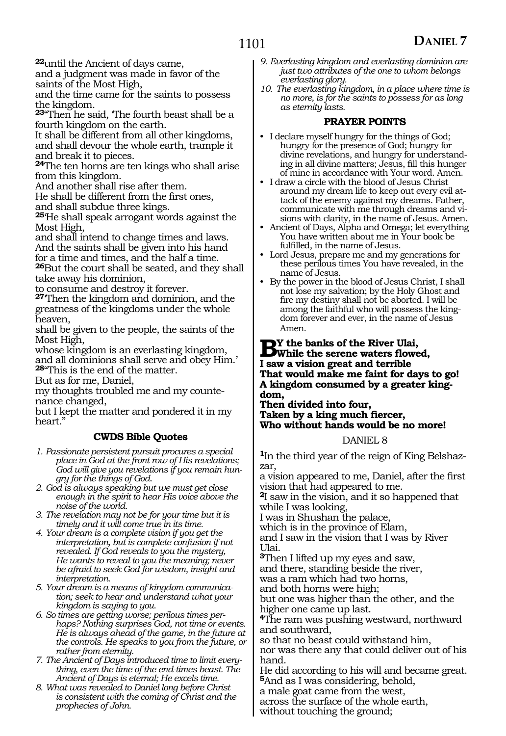**<sup>22</sup>**until the Ancient of days came,

and a judgment was made in favor of the saints of the Most High,

and the time came for the saints to possess the kingdom.

**<sup>23</sup>**"Then he said, 'The fourth beast shall be a fourth kingdom on the earth.

It shall be different from all other kingdoms, and shall devour the whole earth, trample it and break it to pieces.

**<sup>24</sup>**The ten horns are ten kings who shall arise from this kingdom.

And another shall rise after them.

He shall be different from the first ones, and shall subdue three kings.

**<sup>25</sup>**'He shall speak arrogant words against the Most High,

and shall intend to change times and laws. And the saints shall be given into his hand for a time and times, and the half a time.

**<sup>26</sup>**But the court shall be seated, and they shall take away his dominion,

to consume and destroy it forever.

**<sup>27</sup>**'Then the kingdom and dominion, and the greatness of the kingdoms under the whole heaven,

shall be given to the people, the saints of the Most High,

whose kingdom is an everlasting kingdom,

and all dominions shall serve and obey Him.' **<sup>28</sup>**"This is the end of the matter.

But as for me, Daniel,

my thoughts troubled me and my countenance changed,

but I kept the matter and pondered it in my heart.'

### **CWDS Bible Quotes**

- *1. Passionate persistent pursuit procures a special place in God at the front row of His revelations; God will give you revelations if you remain hungry for the things of God.*
- *2. God is always speaking but we must get close enough in the spirit to hear His voice above the noise of the world.*
- *3. The revelation may not be for your time but it is timely and it will come true in its time.*
- *4. Your dream is a complete vision if you get the interpretation, but is complete confusion if not revealed. If God reveals to you the mystery, He wants to reveal to you the meaning; never be afraid to seek God for wisdom, insight and interpretation.*

*5. Your dream is a means of kingdom communication; seek to hear and understand what your kingdom is saying to you.*

*6. So times are getting worse; perilous times perhaps? Nothing surprises God, not time or events. He is always ahead of the game, in the future at the controls. He speaks to you from the future, or rather from eternity.*

*7. The Ancient of Days introduced time to limit everything, even the time of the end-times beast. The Ancient of Days is eternal; He excels time.*

*8. What was revealed to Daniel long before Christ is consistent with the coming of Christ and the prophecies of John.*

- *9. Everlasting kingdom and everlasting dominion are just two attributes of the one to whom belongs everlasting glory.*
- *10. The everlasting kingdom, in a place where time is no more, is for the saints to possess for as long as eternity lasts.*

### **PRAYER POINTS**

- I declare myself hungry for the things of God; hungry for the presence of God; hungry for divine revelations, and hungry for understanding in all divine matters; Jesus, fill this hunger of mine in accordance with Your word. Amen.
- I draw a circle with the blood of Jesus Christ around my dream life to keep out every evil attack of the enemy against my dreams. Father, communicate with me through dreams and visions with clarity, in the name of Jesus. Amen.
- Ancient of Days, Alpha and Omega; let everything You have written about me in Your book be fulfilled, in the name of Jesus.
- Lord Jesus, prepare me and my generations for these perilous times You have revealed, in the name of Jesus.
- By the power in the blood of Jesus Christ, I shall not lose my salvation; by the Holy Ghost and fire my destiny shall not be aborted. I will be among the faithful who will possess the kingdom forever and ever, in the name of Jesus Amen.

### **B**Y the banks of the River Ulai,<br> **B**While the serene waters flowed, **I saw a vision great and terrible That would make me faint for days to go! A kingdom consumed by a greater kingdom,**

**Then divided into four, Taken by a king much fiercer, Who without hands would be no more!**

#### DANIEL 8

**1**In the third year of the reign of King Belshazzar,

a vision appeared to me, Daniel, after the first vision that had appeared to me.

**<sup>2</sup>**I saw in the vision, and it so happened that while I was looking,

I was in Shushan the palace,

which is in the province of Elam,

and I saw in the vision that I was by River Ulai.

**<sup>3</sup>**Then I lifted up my eyes and saw,

and there, standing beside the river,

was a ram which had two horns,

and both horns were high;

but one was higher than the other, and the higher one came up last.

**<sup>4</sup>**The ram was pushing westward, northward and southward,

so that no beast could withstand him,

nor was there any that could deliver out of his hand.

He did according to his will and became great. **<sup>5</sup>**And as I was considering, behold,

a male goat came from the west,

across the surface of the whole earth, without touching the ground;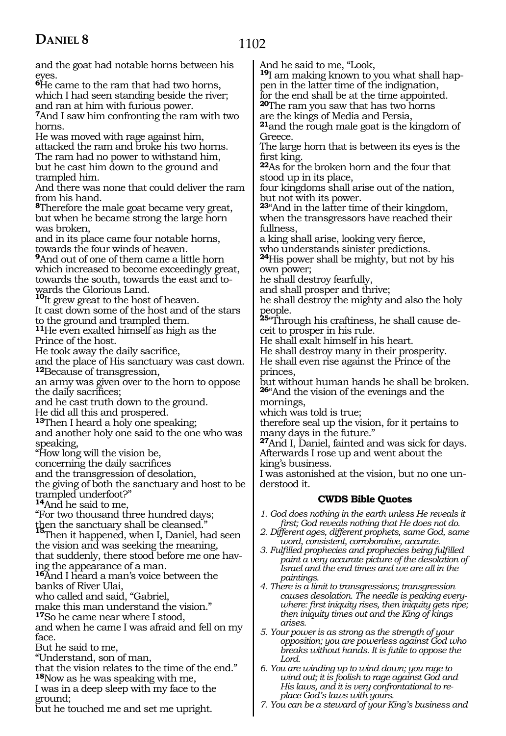### 1102

| and the goat had notable horns between his                                                    | And he said to me, "Look,                                                                                            |
|-----------------------------------------------------------------------------------------------|----------------------------------------------------------------------------------------------------------------------|
| eyes.                                                                                         | <sup>19</sup> I am making known to you what shall hap-                                                               |
| <sup>6</sup> He came to the ram that had two horns,                                           | pen in the latter time of the indignation,                                                                           |
| which I had seen standing beside the river;                                                   | for the end shall be at the time appointed.                                                                          |
| and ran at him with furious power.                                                            | <b>20</b> The ram you saw that has two horns                                                                         |
| 7And I saw him confronting the ram with two                                                   | are the kings of Media and Persia,                                                                                   |
| horns.                                                                                        | <sup>21</sup> and the rough male goat is the kingdom of                                                              |
| He was moved with rage against him,                                                           | Greece.                                                                                                              |
| attacked the ram and broke his two horns.                                                     | The large horn that is between its eyes is the                                                                       |
| The ram had no power to withstand him,                                                        | first king.                                                                                                          |
| but he cast him down to the ground and                                                        | 22As for the broken horn and the four that                                                                           |
| trampled him.                                                                                 | stood up in its place,                                                                                               |
| And there was none that could deliver the ram                                                 | four kingdoms shall arise out of the nation,                                                                         |
| from his hand.                                                                                | but not with its power.                                                                                              |
| <sup>8</sup> Therefore the male goat became very great,                                       | 23" And in the latter time of their kingdom,                                                                         |
| but when he became strong the large horn                                                      | when the transgressors have reached their                                                                            |
| was broken,<br>and in its place came four notable horns,<br>towards the four winds of heaven. | fullness,<br>a king shall arise, looking very fierce,                                                                |
| And out of one of them came a little horn                                                     | who understands sinister predictions.                                                                                |
| which increased to become exceedingly great,                                                  | <sup>24</sup> His power shall be mighty, but not by his                                                              |
| towards the south, towards the east and to-<br>wards the Glorious Land.                       | own power;<br>he shall destroy fearfully,<br>and shall prosper and thrive;                                           |
| <sup>10</sup> It grew great to the host of heaven.                                            | he shall destroy the mighty and also the holy                                                                        |
| It cast down some of the host and of the stars                                                | people.                                                                                                              |
| to the ground and trampled them.                                                              | 25 Through his craftiness, he shall cause de-                                                                        |
| <sup>11</sup> He even exalted himself as high as the                                          | ceit to prosper in his rule.                                                                                         |
| Prince of the host.                                                                           | He shall exalt himself in his heart.                                                                                 |
| He took away the daily sacrifice,                                                             | He shall destroy many in their prosperity.                                                                           |
| and the place of His sanctuary was cast down.                                                 | He shall even rise against the Prince of the                                                                         |
| <sup>12</sup> Because of transgression,                                                       | princes,                                                                                                             |
| an army was given over to the horn to oppose                                                  | but without human hands he shall be broken.                                                                          |
| the daily sacrifices;                                                                         | 26" And the vision of the evenings and the                                                                           |
| and he cast truth down to the ground.                                                         | mornings,                                                                                                            |
| He did all this and prospered.                                                                | which was told is true;                                                                                              |
| <sup>13</sup> Then I heard a holy one speaking;                                               | therefore seal up the vision, for it pertains to                                                                     |
| and another holy one said to the one who was                                                  | many days in the future."                                                                                            |
| speaking,                                                                                     | <sup>27</sup> And I, Daniel, fainted and was sick for days.                                                          |
| "How long will the vision be,                                                                 | Afterwards I rose up and went about the                                                                              |
| concerning the daily sacrifices                                                               | king's business.                                                                                                     |
| and the transgression of desolation,                                                          | I was astonished at the vision, but no one un-                                                                       |
| the giving of both the sanctuary and host to be                                               | derstood it.                                                                                                         |
| trampled underfoot?"<br><sup>14</sup> And he said to me,                                      | <b>CWDS Bible Quotes</b>                                                                                             |
| "For two thousand three hundred days;                                                         | 1. God does nothing in the earth unless He reveals it                                                                |
| then the sanctuary shall be cleansed."                                                        | first; God reveals nothing that He does not do.                                                                      |
| 'Then it happened, when I, Daniel, had seen                                                   | 2. Different ages, different prophets, same God, same                                                                |
| the vision and was seeking the meaning,                                                       | word, consistent, corroborative, accurate.                                                                           |
| that suddenly, there stood before me one hav-                                                 | 3. Fulfilled prophecies and prophecies being fulfilled                                                               |
| ing the appearance of a man.                                                                  | paint a very accurate picture of the desolation of                                                                   |
| <b>16</b> And I heard a man's voice between the<br>banks of River Ulai,                       | Israel and the end times and we are all in the<br>paintings.<br>4. There is a limit to transgressions; transgression |
| who called and said, "Gabriel,                                                                | causes desolation. The needle is peaking every-                                                                      |
| make this man understand the vision."                                                         | where: first iniquity rises, then iniquity gets ripe;                                                                |
| <sup>17</sup> So he came near where I stood,                                                  | then iniquity times out and the King of kings                                                                        |
| and when he came I was afraid and fell on my<br>face.                                         | arises.<br>5. Your power is as strong as the strength of your<br>opposition; you are powerless against God who       |
| But he said to me,                                                                            | breaks without hands. It is futile to oppose the                                                                     |
| "Understand, son of man,                                                                      | Lord.                                                                                                                |
| that the vision relates to the time of the end."                                              | 6. You are winding up to wind down; you rage to                                                                      |
| <sup>18</sup> Now as he was speaking with me,                                                 | wind out; it is foolish to rage against God and                                                                      |
| I was in a deep sleep with my face to the                                                     | His laws, and it is very confrontational to re-                                                                      |
| ground;                                                                                       | place God's laws with yours.                                                                                         |
| but he touched me and set me upright.                                                         | 7. You can be a steward of your King's business and                                                                  |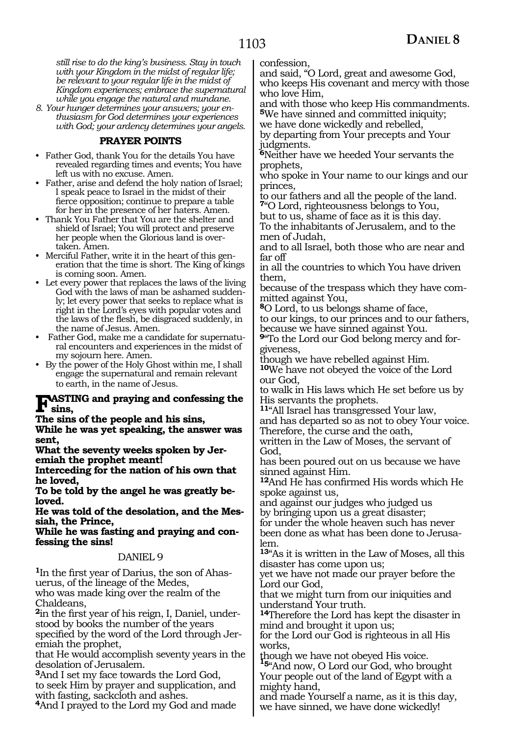*still rise to do the king's business. Stay in touch with your Kingdom in the midst of regular life; be relevant to your regular life in the midst of Kingdom experiences; embrace the supernatural while you engage the natural and mundane.* 

*8. Your hunger determines your answers; your enthusiasm for God determines your experiences with God; your ardency determines your angels.* 

### **PRAYER POINTS**

- Father God, thank You for the details You have revealed regarding times and events; You have left us with no excuse. Amen.
- Father, arise and defend the holy nation of Israel; I speak peace to Israel in the midst of their fierce opposition; continue to prepare a table for her in the presence of her haters. Amen.
- Thank You Father that You are the shelter and shield of Israel; You will protect and preserve her people when the Glorious land is overtaken. Amen.
- Merciful Father, write it in the heart of this generation that the time is short. The King of kings is coming soon. Amen.
- Let every power that replaces the laws of the living God with the laws of man be ashamed suddenly; let every power that seeks to replace what is right in the Lord's eyes with popular votes and the laws of the flesh, be disgraced suddenly, in the name of Jesus. Amen.
- Father God, make me a candidate for supernatural encounters and experiences in the midst of my sojourn here. Amen.
- By the power of the Holy Ghost within me, I shall engage the supernatural and remain relevant to earth, in the name of Jesus.

## **FASTING** and praying and confessing the sins,

**The sins of the people and his sins,**

**While he was yet speaking, the answer was sent,**

**What the seventy weeks spoken by Jer- emiah the prophet meant!**

**Interceding for the nation of his own that he loved,**

**To be told by the angel he was greatly beloved.**

**He was told of the desolation, and the Messiah, the Prince,**

**While he was fasting and praying and confessing the sins!**

#### DANIEL 9

**1**In the first year of Darius, the son of Ahasuerus, of the lineage of the Medes, who was made king over the realm of the

Chaldeans, **2**in the first year of his reign, I, Daniel, understood by books the number of the years specified by the word of the Lord through Jeremiah the prophet,

that He would accomplish seventy years in the desolation of Jerusalem.

**<sup>3</sup>**And I set my face towards the Lord God, to seek Him by prayer and supplication, and with fasting, sackcloth and ashes.

**<sup>4</sup>**And I prayed to the Lord my God and made

confession,

and said, "O Lord, great and awesome God, who keeps His covenant and mercy with those who love Him,

and with those who keep His commandments. **<sup>5</sup>**We have sinned and committed iniquity;

we have done wickedly and rebelled, by departing from Your precepts and Your judgments.

**<sup>6</sup>**Neither have we heeded Your servants the prophets,

who spoke in Your name to our kings and our princes,

to our fathers and all the people of the land. **<sup>7</sup>**"O Lord, righteousness belongs to You,

but to us, shame of face as it is this day. To the inhabitants of Jerusalem, and to the men of Judah,

and to all Israel, both those who are near and far off

in all the countries to which You have driven them,

because of the trespass which they have committed against You,

**<sup>8</sup>**O Lord, to us belongs shame of face,

to our kings, to our princes and to our fathers, because we have sinned against You.

**9**"To the Lord our God belong mercy and forgiveness,

though we have rebelled against Him.

**<sup>10</sup>**We have not obeyed the voice of the Lord our God,

to walk in His laws which He set before us by His servants the prophets.

**<sup>11</sup>**"All Israel has transgressed Your law,

and has departed so as not to obey Your voice. Therefore, the curse and the oath,

written in the Law of Moses, the servant of God,

has been poured out on us because we have sinned against Him.

**<sup>12</sup>**And He has confirmed His words which He spoke against us,

and against our judges who judged us by bringing upon us a great disaster;

for under the whole heaven such has never been done as what has been done to Jerusalem.

**<sup>13</sup>**"As it is written in the Law of Moses, all this disaster has come upon us;

yet we have not made our prayer before the Lord our God,

that we might turn from our iniquities and understand Your truth.

**<sup>14</sup>**Therefore the Lord has kept the disaster in mind and brought it upon us;

for the Lord our God is righteous in all His works,

though we have not obeyed His voice. **<sup>15</sup>**"And now, O Lord our God, who brought

Your people out of the land of Egypt with a mighty hand,

and made Yourself a name, as it is this day, we have sinned, we have done wickedly!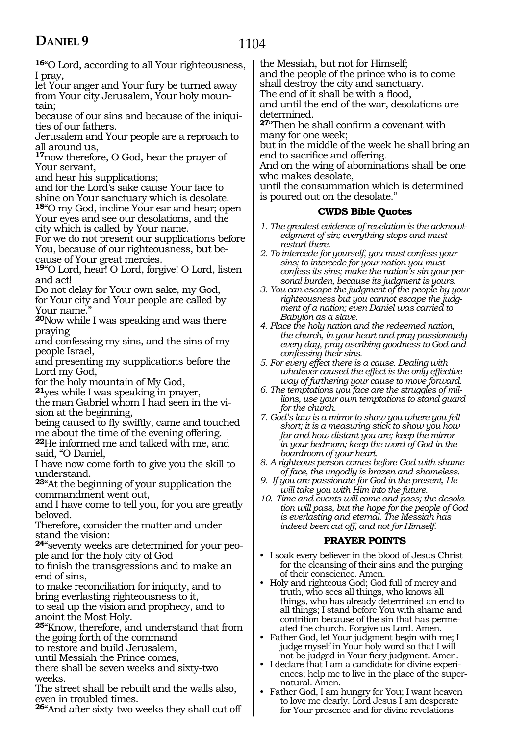### 1104

**<sup>16</sup>**"O Lord, according to all Your righteousness, I pray,

let Your anger and Your fury be turned away from Your city Jerusalem, Your holy mountain;

because of our sins and because of the iniquities of our fathers.

Jerusalem and Your people are a reproach to all around us,

**<sup>17</sup>**now therefore, O God, hear the prayer of Your servant,

and hear his supplications;

and for the Lord's sake cause Your face to shine on Your sanctuary which is desolate. **<sup>18</sup>**"O my God, incline Your ear and hear; open

Your eyes and see our desolations, and the city which is called by Your name.

For we do not present our supplications before You, because of our righteousness, but because of Your great mercies.

**<sup>19</sup>**"O Lord, hear! O Lord, forgive! O Lord, listen and act!

Do not delay for Your own sake, my God, for Your city and Your people are called by Your name.'

**<sup>20</sup>**Now while I was speaking and was there praying

and confessing my sins, and the sins of my people Israel,

and presenting my supplications before the Lord my God,

for the holy mountain of My God,

**<sup>21</sup>**yes while I was speaking in prayer,

the man Gabriel whom I had seen in the vision at the beginning,

being caused to fly swiftly, came and touched me about the time of the evening offering.

**<sup>22</sup>**He informed me and talked with me, and said, "O Daniel,

I have now come forth to give you the skill to understand.

**<sup>23</sup>**"At the beginning of your supplication the commandment went out,

and I have come to tell you, for you are greatly beloved.

Therefore, consider the matter and understand the vision:

**24**"seventy weeks are determined for your people and for the holy city of God

to finish the transgressions and to make an end of sins,

to make reconciliation for iniquity, and to bring everlasting righteousness to it,

to seal up the vision and prophecy, and to anoint the Most Holy.

**<sup>25</sup>**"Know, therefore, and understand that from the going forth of the command

to restore and build Jerusalem,

until Messiah the Prince comes,

there shall be seven weeks and sixty-two weeks.

The street shall be rebuilt and the walls also, even in troubled times.

**<sup>26</sup>**"And after sixty-two weeks they shall cut off

the Messiah, but not for Himself;

and the people of the prince who is to come shall destroy the city and sanctuary.

The end of it shall be with a flood,

and until the end of the war, desolations are determined.

**<sup>27</sup>**"Then he shall confirm a covenant with many for one week;

but in the middle of the week he shall bring an end to sacrifice and offering.

And on the wing of abominations shall be one who makes desolate,

until the consummation which is determined is poured out on the desolate."

### **CWDS Bible Quotes**

- *1. The greatest evidence of revelation is the acknowledgment of sin; everything stops and must restart there.*
- *2. To intercede for yourself, you must confess your sins; to intercede for your nation you must confess its sins; make the nation's sin your personal burden, because its judgment is yours.*
- *3. You can escape the judgment of the people by your righteousness but you cannot escape the judgment of a nation; even Daniel was carried to Babylon as a slave.*
- *4. Place the holy nation and the redeemed nation, the church, in your heart and pray passionately every day, pray ascribing goodness to God and confessing their sins.*
- *5. For every effect there is a cause. Dealing with whatever caused the effect is the only effective way of furthering your cause to move forward.*
- *6. The temptations you face are the struggles of millions, use your own temptations to stand guard for the church.*
- *7. God's law is a mirror to show you where you fell short; it is a measuring stick to show you how far and how distant you are; keep the mirror in your bedroom; keep the word of God in the boardroom of your heart.*
- *8. A righteous person comes before God with shame of face, the ungodly is brazen and shameless.*
- *9. If you are passionate for God in the present, He will take you with Him into the future.*
- *10. Time and events will come and pass; the desolation will pass, but the hope for the people of God is everlasting and eternal. The Messiah has indeed been cut off, and not for Himself.*

### **PRAYER POINTS**

- I soak every believer in the blood of Jesus Christ for the cleansing of their sins and the purging of their conscience. Amen.
- Holy and righteous God; God full of mercy and truth, who sees all things, who knows all things, who has already determined an end to all things; I stand before You with shame and contrition because of the sin that has permeated the church. Forgive us Lord. Amen.
- Father God, let Your judgment begin with me; I judge myself in Your holy word so that I will not be judged in Your fiery judgment. Amen.
- I declare that I am a candidate for divine experiences; help me to live in the place of the supernatural. Amen.
- Father God, I am hungry for You; I want heaven to love me dearly. Lord Jesus I am desperate for Your presence and for divine revelations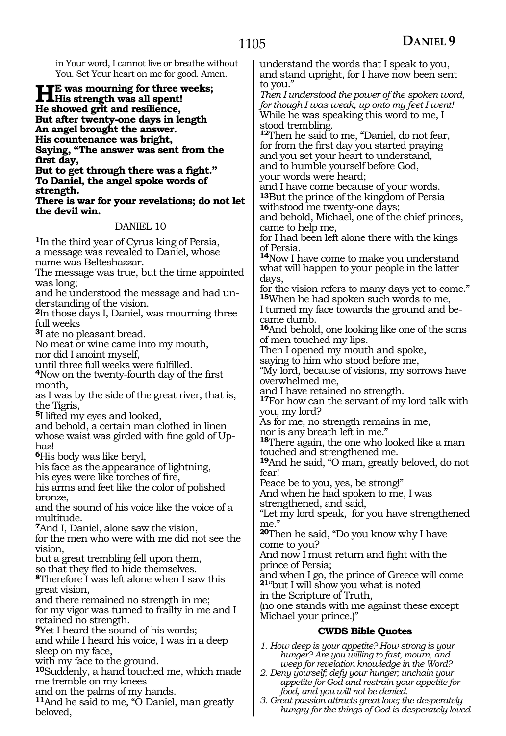in Your word, I cannot live or breathe without You. Set Your heart on me for good. Amen.

**HE** was mourning for three weeks;<br>His strength was all spent!<br>He sharred with and regiliance **He showed grit and resilience, But after twenty-one days in length An angel brought the answer. His countenance was bright, Saying, "The answer was sent from the first day,** 

**But to get through there was a fight." To Daniel, the angel spoke words of strength.** 

**There is war for your revelations; do not let the devil win.**

### DANIEL 10

**<sup>1</sup>**In the third year of Cyrus king of Persia, a message was revealed to Daniel, whose name was Belteshazzar.

The message was true, but the time appointed was long;

and he understood the message and had un- derstanding of the vision.

**<sup>2</sup>**In those days I, Daniel, was mourning three full weeks

**<sup>3</sup>**I ate no pleasant bread.

No meat or wine came into my mouth,

nor did I anoint myself,

until three full weeks were fulfilled.

**<sup>4</sup>**Now on the twenty-fourth day of the first month,

as I was by the side of the great river, that is, the Tigris,

**<sup>5</sup>**I lifted my eyes and looked,

and behold, a certain man clothed in linen whose waist was girded with fine gold of Uphaz!

**<sup>6</sup>**His body was like beryl,

his face as the appearance of lightning, his eyes were like torches of fire,

his arms and feet like the color of polished bronze,

and the sound of his voice like the voice of a multitude.

**<sup>7</sup>**And I, Daniel, alone saw the vision,

for the men who were with me did not see the vision,

but a great trembling fell upon them,

so that they fled to hide themselves. **<sup>8</sup>**Therefore I was left alone when I saw this

great vision,

and there remained no strength in me; for my vigor was turned to frailty in me and I retained no strength.

**<sup>9</sup>**Yet I heard the sound of his words;

and while I heard his voice, I was in a deep sleep on my face,

with my face to the ground.

**<sup>10</sup>**Suddenly, a hand touched me, which made me tremble on my knees

and on the palms of my hands.

**<sup>11</sup>**And he said to me, "O Daniel, man greatly beloved,

understand the words that I speak to you, and stand upright, for I have now been sent to you."

*Then I understood the power of the spoken word, for though I was weak, up onto my feet I went!* While he was speaking this word to me, I stood trembling.

**<sup>12</sup>**Then he said to me, "Daniel, do not fear, for from the first day you started praying and you set your heart to understand, and to humble yourself before God, your words were heard;

and I have come because of your words. **13**But the prince of the kingdom of Persia withstood me twenty-one days;

and behold, Michael, one of the chief princes, came to help me,

for I had been left alone there with the kings of Persia.

**<sup>14</sup>**Now I have come to make you understand what will happen to your people in the latter days,

for the vision refers to many days yet to come." **<sup>15</sup>**When he had spoken such words to me,

I turned my face towards the ground and became dumb.

**<sup>16</sup>**And behold, one looking like one of the sons of men touched my lips.

Then I opened my mouth and spoke,

saying to him who stood before me,

"My lord, because of visions, my sorrows have overwhelmed me,

and I have retained no strength.

**<sup>17</sup>**For how can the servant of my lord talk with you, my lord?

As for me, no strength remains in me,

nor is any breath left in me."

**<sup>18</sup>**There again, the one who looked like a man touched and strengthened me.

**<sup>19</sup>**And he said, "O man, greatly beloved, do not fear!

Peace be to you, yes, be strong!"

And when he had spoken to me, I was

strengthened, and said, "Let my lord speak, for you have strengthened

me." **<sup>20</sup>**Then he said, "Do you know why I have come to you?

And now I must return and fight with the prince of Persia;

and when I go, the prince of Greece will come **<sup>21</sup>**"but I will show you what is noted

in the Scripture of Truth,

(no one stands with me against these except Michael your prince.)"

### **CWDS Bible Quotes**

*1. How deep is your appetite? How strong is your hunger? Are you willing to fast, mourn, and weep for revelation knowledge in the Word?*

*2. Deny yourself; defy your hunger; unchain your appetite for God and restrain your appetite for food, and you will not be denied.*

*3. Great passion attracts great love; the desperately hungry for the things of God is desperately loved*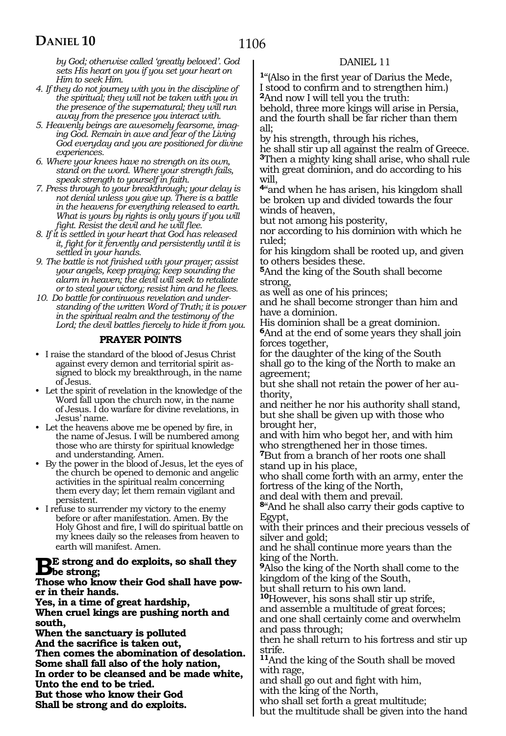*by God; otherwise called 'greatly beloved'. God sets His heart on you if you set your heart on Him to seek Him.*

- *4. If they do not journey with you in the discipline of the spiritual; they will not be taken with you in the presence of the supernatural; they will run away from the presence you interact with.*
- *5. Heavenly beings are awesomely fearsome, imaging God. Remain in awe and fear of the Living God everyday and you are positioned for divine experiences.*
- *6. Where your knees have no strength on its own, stand on the word. Where your strength fails, speak strength to yourself in faith.*
- *7. Press through to your breakthrough; your delay is not denial unless you give up. There is a battle in the heavens for everything released to earth. What is yours by rights is only yours if you will fight. Resist the devil and he will flee.*
- *8. If it is settled in your heart that God has released it, fight for it fervently and persistently until it is settled in your hands.*
- *9. The battle is not finished with your prayer; assist your angels, keep praying; keep sounding the alarm in heaven; the devil will seek to retaliate or to steal your victory; resist him and he flees.*
- *10. Do battle for continuous revelation and understanding of the written Word of Truth; it is power in the spiritual realm and the testimony of the Lord; the devil battles fiercely to hide it from you.*

### **PRAYER POINTS**

- I raise the standard of the blood of Jesus Christ against every demon and territorial spirit assigned to block my breakthrough, in the name of Jesus.
- Let the spirit of revelation in the knowledge of the Word fall upon the church now, in the name of Jesus. I do warfare for divine revelations, in Jesus' name.
- Let the heavens above me be opened by fire, in the name of Jesus. I will be numbered among those who are thirsty for spiritual knowledge and understanding. Amen.
- By the power in the blood of Jesus, let the eyes of the church be opened to demonic and angelic activities in the spiritual realm concerning them every day; let them remain vigilant and persistent.
- I refuse to surrender my victory to the enemy before or after manifestation. Amen. By the Holy Ghost and fire, I will do spiritual battle on my knees daily so the releases from heaven to earth will manifest. Amen.

## **BE** strong and do exploits, so shall they<br>These who linear their God shall have now

## **Those who know their God shall have pow- er in their hands.**

**Yes, in a time of great hardship, When cruel kings are pushing north and south,**

**When the sanctuary is polluted**

**And the sacrifice is taken out,**

**Then comes the abomination of desolation. Some shall fall also of the holy nation, In order to be cleansed and be made white,**

**Unto the end to be tried.**

**But those who know their God**

**Shall be strong and do exploits.** 

### DANIEL 11

**<sup>1</sup>**"(Also in the first year of Darius the Mede, I stood to confirm and to strengthen him.) **<sup>2</sup>**And now I will tell you the truth:

behold, three more kings will arise in Persia, and the fourth shall be far richer than them all;

by his strength, through his riches,

he shall stir up all against the realm of Greece. **<sup>3</sup>**Then a mighty king shall arise, who shall rule with great dominion, and do according to his will,

**<sup>4</sup>**"and when he has arisen, his kingdom shall be broken up and divided towards the four winds of heaven,

but not among his posterity,

nor according to his dominion with which he ruled;

for his kingdom shall be rooted up, and given to others besides these.

**<sup>5</sup>**And the king of the South shall become strong,

as well as one of his princes;

and he shall become stronger than him and have a dominion.

His dominion shall be a great dominion. **<sup>6</sup>**And at the end of some years they shall join forces together,

for the daughter of the king of the South shall go to the king of the North to make an agreement;

but she shall not retain the power of her authority,

and neither he nor his authority shall stand, but she shall be given up with those who brought her,

and with him who begot her, and with him who strengthened her in those times.

**<sup>7</sup>**But from a branch of her roots one shall stand up in his place,

who shall come forth with an army, enter the fortress of the king of the North,

and deal with them and prevail.

**<sup>8</sup>**"And he shall also carry their gods captive to Egypt,

with their princes and their precious vessels of silver and gold;

and he shall continue more years than the king of the North.

**<sup>9</sup>**Also the king of the North shall come to the kingdom of the king of the South,

but shall return to his own land.

**<sup>10</sup>**However, his sons shall stir up strife, and assemble a multitude of great forces;

and one shall certainly come and overwhelm and pass through;

then he shall return to his fortress and stir up strife.

**<sup>11</sup>**And the king of the South shall be moved with rage,

and shall go out and fight with him,

with the king of the North,

who shall set forth a great multitude;

but the multitude shall be given into the hand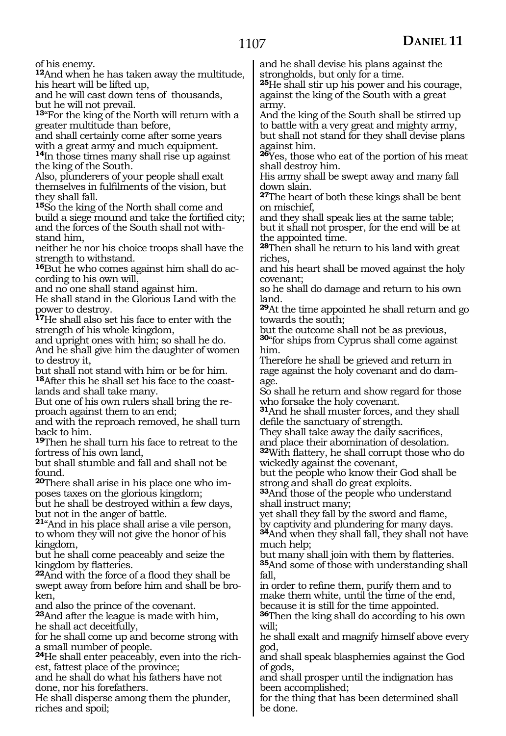of his enemy.

**<sup>12</sup>**And when he has taken away the multitude, his heart will be lifted up,

and he will cast down tens of thousands, but he will not prevail.

**<sup>13</sup>**"For the king of the North will return with a greater multitude than before,

and shall certainly come after some years with a great army and much equipment. **<sup>14</sup>**In those times many shall rise up against the king of the South.

Also, plunderers of your people shall exalt themselves in fulfilments of the vision, but they shall fall.

**<sup>15</sup>**So the king of the North shall come and build a siege mound and take the fortified city; and the forces of the South shall not withstand him,

neither he nor his choice troops shall have the strength to withstand.

**16**But he who comes against him shall do according to his own will,

and no one shall stand against him.

He shall stand in the Glorious Land with the power to destroy.

**<sup>17</sup>**He shall also set his face to enter with the strength of his whole kingdom,

and upright ones with him; so shall he do. And he shall give him the daughter of women to destroy it,

but shall not stand with him or be for him. **18**After this he shall set his face to the coastlands and shall take many.

But one of his own rulers shall bring the re- proach against them to an end;

and with the reproach removed, he shall turn back to him.

**<sup>19</sup>**Then he shall turn his face to retreat to the fortress of his own land,

but shall stumble and fall and shall not be found.

**20**There shall arise in his place one who imposes taxes on the glorious kingdom;

but he shall be destroyed within a few days, but not in the anger of battle.

**<sup>21</sup>**"And in his place shall arise a vile person, to whom they will not give the honor of his kingdom,

but he shall come peaceably and seize the kingdom by flatteries.

**<sup>22</sup>**And with the force of a flood they shall be swept away from before him and shall be broken,

and also the prince of the covenant.

**<sup>23</sup>**And after the league is made with him, he shall act deceitfully,

for he shall come up and become strong with a small number of people.

**24**He shall enter peaceably, even into the richest, fattest place of the province;

and he shall do what his fathers have not done, nor his forefathers.

He shall disperse among them the plunder, riches and spoil;

and he shall devise his plans against the strongholds, but only for a time.

**<sup>25</sup>**He shall stir up his power and his courage, against the king of the South with a great army.

And the king of the South shall be stirred up to battle with a very great and mighty army, but shall not stand for they shall devise plans against him.

**<sup>26</sup>**Yes, those who eat of the portion of his meat shall destroy him.

His army shall be swept away and many fall down slain.

**<sup>27</sup>**The heart of both these kings shall be bent on mischief,

and they shall speak lies at the same table; but it shall not prosper, for the end will be at the appointed time.

**<sup>28</sup>**Then shall he return to his land with great riches,

and his heart shall be moved against the holy covenant;

so he shall do damage and return to his own land.

**<sup>29</sup>**At the time appointed he shall return and go towards the south;

but the outcome shall not be as previous,

**<sup>30</sup>**"for ships from Cyprus shall come against him.

Therefore he shall be grieved and return in rage against the holy covenant and do damage.

So shall he return and show regard for those who forsake the holy covenant.

**<sup>31</sup>**And he shall muster forces, and they shall defile the sanctuary of strength.

They shall take away the daily sacrifices, and place their abomination of desolation.

**<sup>32</sup>**With flattery, he shall corrupt those who do wickedly against the covenant,

but the people who know their God shall be strong and shall do great exploits.

**<sup>33</sup>**And those of the people who understand shall instruct many;

yet shall they fall by the sword and flame, by captivity and plundering for many days. **<sup>34</sup>**And when they shall fall, they shall not have much help;

but many shall join with them by flatteries. **<sup>35</sup>**And some of those with understanding shall fall,

in order to refine them, purify them and to make them white, until the time of the end, because it is still for the time appointed.

**<sup>36</sup>**Then the king shall do according to his own will;

he shall exalt and magnify himself above every god,

and shall speak blasphemies against the God of gods,

and shall prosper until the indignation has been accomplished;

for the thing that has been determined shall be done.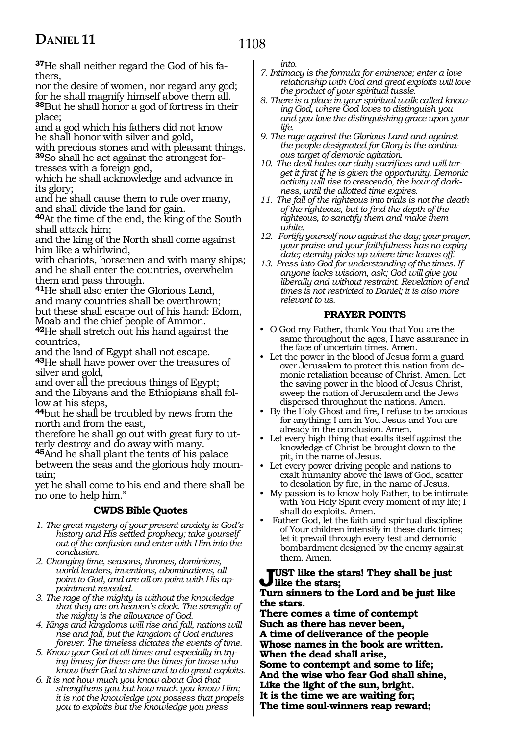### 1108

**37**He shall neither regard the God of his fathers,

nor the desire of women, nor regard any god; for he shall magnify himself above them all. **<sup>38</sup>**But he shall honor a god of fortress in their place;

and a god which his fathers did not know he shall honor with silver and gold,

with precious stones and with pleasant things. **39**So shall he act against the strongest for-

tresses with a foreign god,

which he shall acknowledge and advance in its glory;

and he shall cause them to rule over many, and shall divide the land for gain.

**<sup>40</sup>**At the time of the end, the king of the South shall attack him;

and the king of the North shall come against him like a whirlwind,

with chariots, horsemen and with many ships; and he shall enter the countries, overwhelm them and pass through.

**<sup>41</sup>**He shall also enter the Glorious Land, and many countries shall be overthrown; but these shall escape out of his hand: Edom, Moab and the chief people of Ammon.

**<sup>42</sup>**He shall stretch out his hand against the countries,

and the land of Egypt shall not escape. **<sup>43</sup>**He shall have power over the treasures of silver and gold,

and over all the precious things of Egypt; and the Libyans and the Ethiopians shall follow at his steps,

**<sup>44</sup>**but he shall be troubled by news from the north and from the east,

therefore he shall go out with great fury to utterly destroy and do away with many.

**<sup>45</sup>**And he shall plant the tents of his palace between the seas and the glorious holy moun- tain;

yet he shall come to his end and there shall be no one to help him."

### **CWDS Bible Quotes**

- *1. The great mystery of your present anxiety is God's history and His settled prophecy; take yourself out of the confusion and enter with Him into the conclusion.*
- *2. Changing time, seasons, thrones, dominions, world leaders, inventions, abominations, all point to God, and are all on point with His appointment revealed.*
- *3. The rage of the mighty is without the knowledge that they are on heaven's clock. The strength of the mighty is the allowance of God.*
- *4. Kings and kingdoms will rise and fall, nations will rise and fall, but the kingdom of God endures forever. The timeless dictates the events of time.*
- *5. Know your God at all times and especially in trying times; for these are the times for those who know their God to shine and to do great exploits.*
- *6. It is not how much you know about God that strengthens you but how much you know Him; it is not the knowledge you possess that propels you to exploits but the knowledge you press*

*into.*

- *7. Intimacy is the formula for eminence; enter a love relationship with God and great exploits will love the product of your spiritual tussle.*
- *8. There is a place in your spiritual walk called knowing God, where God loves to distinguish you and you love the distinguishing grace upon your life.*
- *9. The rage against the Glorious Land and against the people designated for Glory is the continuous target of demonic agitation.*
- *10. The devil hates our daily sacrifices and will target it first if he is given the opportunity. Demonic activity will rise to crescendo, the hour of darkness, until the allotted time expires.*
- *11. The fall of the righteous into trials is not the death of the righteous, but to find the depth of the righteous, to sanctify them and make them white.*
- *12. Fortify yourself now against the day; your prayer, your praise and your faithfulness has no expiry date; eternity picks up where time leaves off.*
- *13. Press into God for understanding of the times. If anyone lacks wisdom, ask; God will give you liberally and without restraint. Revelation of end times is not restricted to Daniel; it is also more relevant to us.*

### **PRAYER POINTS**

- O God my Father, thank You that You are the same throughout the ages, I have assurance in the face of uncertain times. Amen.
- Let the power in the blood of Jesus form a guard over Jerusalem to protect this nation from demonic retaliation because of Christ. Amen. Let the saving power in the blood of Jesus Christ, sweep the nation of Jerusalem and the Jews dispersed throughout the nations. Amen.
- By the Holy Ghost and fire, I refuse to be anxious for anything; I am in You Jesus and You are already in the conclusion. Amen.
- Let every high thing that exalts itself against the knowledge of Christ be brought down to the pit, in the name of Jesus.
- Let every power driving people and nations to exalt humanity above the laws of God, scatter to desolation by fire, in the name of Jesus.
- My passion is to know holy Father, to be intimate with You Holy Spirit every moment of my life; I shall do exploits. Amen.
- Father God, let the faith and spiritual discipline of Your children intensify in these dark times; let it prevail through every test and demonic bombardment designed by the enemy against them. Amen.

### **Just like the stars! They shall be just like the stars;**

#### **Turn sinners to the Lord and be just like the stars.**

**There comes a time of contempt Such as there has never been, A time of deliverance of the people Whose names in the book are written. When the dead shall arise, Some to contempt and some to life; And the wise who fear God shall shine, Like the light of the sun, bright. It is the time we are waiting for; The time soul-winners reap reward;**